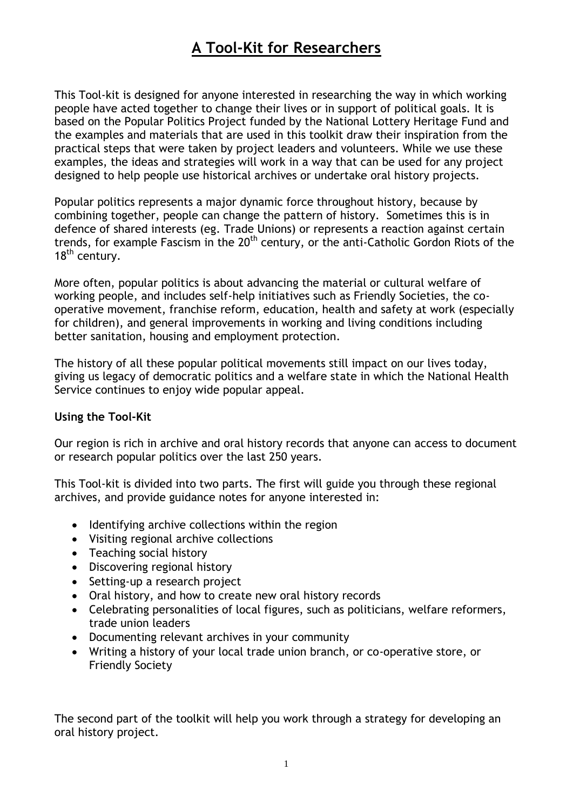## **A Tool-Kit for Researchers**

This Tool-kit is designed for anyone interested in researching the way in which working people have acted together to change their lives or in support of political goals. It is based on the Popular Politics Project funded by the National Lottery Heritage Fund and the examples and materials that are used in this toolkit draw their inspiration from the practical steps that were taken by project leaders and volunteers. While we use these examples, the ideas and strategies will work in a way that can be used for any project designed to help people use historical archives or undertake oral history projects.

Popular politics represents a major dynamic force throughout history, because by combining together, people can change the pattern of history. Sometimes this is in defence of shared interests (eg. Trade Unions) or represents a reaction against certain trends, for example Fascism in the  $20<sup>th</sup>$  century, or the anti-Catholic Gordon Riots of the 18<sup>th</sup> century.

More often, popular politics is about advancing the material or cultural welfare of working people, and includes self-help initiatives such as Friendly Societies, the cooperative movement, franchise reform, education, health and safety at work (especially for children), and general improvements in working and living conditions including better sanitation, housing and employment protection.

The history of all these popular political movements still impact on our lives today, giving us legacy of democratic politics and a welfare state in which the National Health Service continues to enjoy wide popular appeal.

## **Using the Tool-Kit**

Our region is rich in archive and oral history records that anyone can access to document or research popular politics over the last 250 years.

This Tool-kit is divided into two parts. The first will guide you through these regional archives, and provide guidance notes for anyone interested in:

- Identifying archive collections within the region
- Visiting regional archive collections
- Teaching social history
- Discovering regional history
- Setting-up a research project
- Oral history, and how to create new oral history records
- Celebrating personalities of local figures, such as politicians, welfare reformers, trade union leaders
- Documenting relevant archives in your community
- Writing a history of your local trade union branch, or co-operative store, or Friendly Society

The second part of the toolkit will help you work through a strategy for developing an oral history project.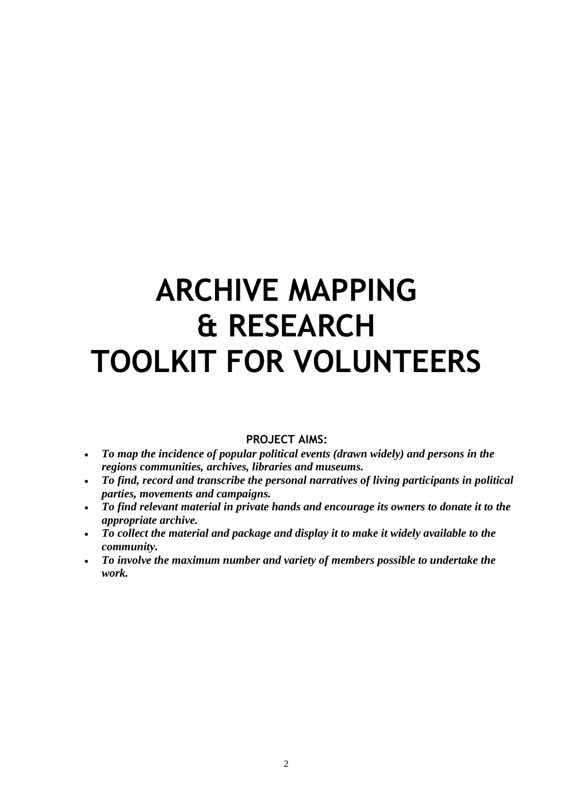## **ARCHIVE MAPPING & RESEARCH TOOLKIT FOR VOLUNTEERS**

## **PROJECT AIMS:**

- *To map the incidence of popular political events (drawn widely) and persons in the regions communities, archives, libraries and museums.*
- *To find, record and transcribe the personal narratives of living participants in political parties, movements and campaigns.*
- *To find relevant material in private hands and encourage its owners to donate it to the appropriate archive.*
- *To collect the material and package and display it to make it widely available to the community.*
- *To involve the maximum number and variety of members possible to undertake the work.*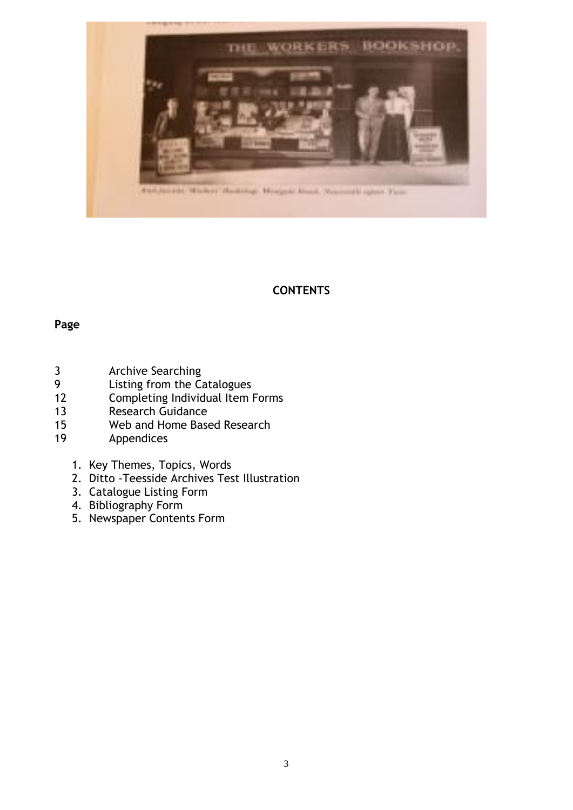

## **CONTENTS**

## **Page**

- 3 Archive Searching<br>9 Listing from the Co
- Listing from the Catalogues
- 12 Completing Individual Item Forms
- 13 Research Guidance
- 15 Web and Home Based Research<br>19 Appendices
- **Appendices** 
	- 1. Key Themes, Topics, Words
	- 2. Ditto -Teesside Archives Test Illustration
	- 3. Catalogue Listing Form
	- 4. Bibliography Form
	- 5. Newspaper Contents Form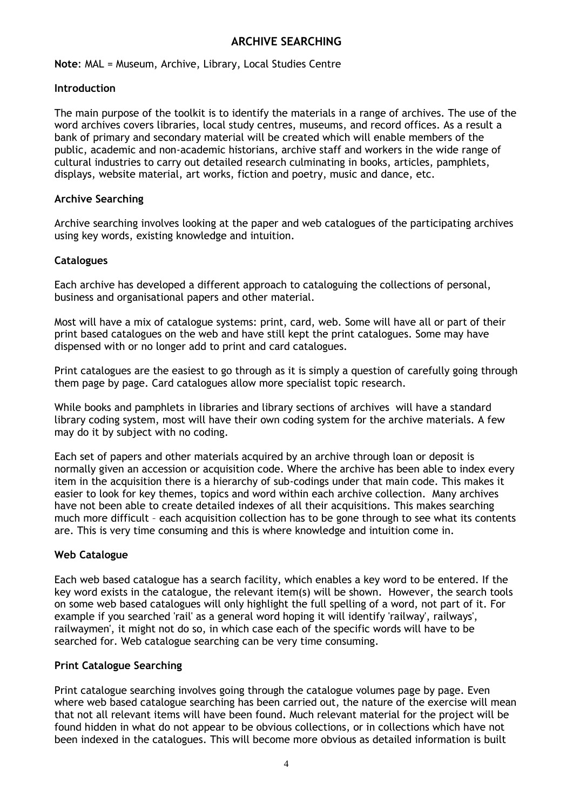## **ARCHIVE SEARCHING**

**Note**: MAL = Museum, Archive, Library, Local Studies Centre

#### **Introduction**

The main purpose of the toolkit is to identify the materials in a range of archives. The use of the word archives covers libraries, local study centres, museums, and record offices. As a result a bank of primary and secondary material will be created which will enable members of the public, academic and non-academic historians, archive staff and workers in the wide range of cultural industries to carry out detailed research culminating in books, articles, pamphlets, displays, website material, art works, fiction and poetry, music and dance, etc.

#### **Archive Searching**

Archive searching involves looking at the paper and web catalogues of the participating archives using key words, existing knowledge and intuition.

#### **Catalogues**

Each archive has developed a different approach to cataloguing the collections of personal, business and organisational papers and other material.

Most will have a mix of catalogue systems: print, card, web. Some will have all or part of their print based catalogues on the web and have still kept the print catalogues. Some may have dispensed with or no longer add to print and card catalogues.

Print catalogues are the easiest to go through as it is simply a question of carefully going through them page by page. Card catalogues allow more specialist topic research.

While books and pamphlets in libraries and library sections of archives will have a standard library coding system, most will have their own coding system for the archive materials. A few may do it by subject with no coding.

Each set of papers and other materials acquired by an archive through loan or deposit is normally given an accession or acquisition code. Where the archive has been able to index every item in the acquisition there is a hierarchy of sub-codings under that main code. This makes it easier to look for key themes, topics and word within each archive collection. Many archives have not been able to create detailed indexes of all their acquisitions. This makes searching much more difficult – each acquisition collection has to be gone through to see what its contents are. This is very time consuming and this is where knowledge and intuition come in.

#### **Web Catalogue**

Each web based catalogue has a search facility, which enables a key word to be entered. If the key word exists in the catalogue, the relevant item(s) will be shown. However, the search tools on some web based catalogues will only highlight the full spelling of a word, not part of it. For example if you searched 'rail' as a general word hoping it will identify 'railway', railways', railwaymen', it might not do so, in which case each of the specific words will have to be searched for. Web catalogue searching can be very time consuming.

#### **Print Catalogue Searching**

Print catalogue searching involves going through the catalogue volumes page by page. Even where web based catalogue searching has been carried out, the nature of the exercise will mean that not all relevant items will have been found. Much relevant material for the project will be found hidden in what do not appear to be obvious collections, or in collections which have not been indexed in the catalogues. This will become more obvious as detailed information is built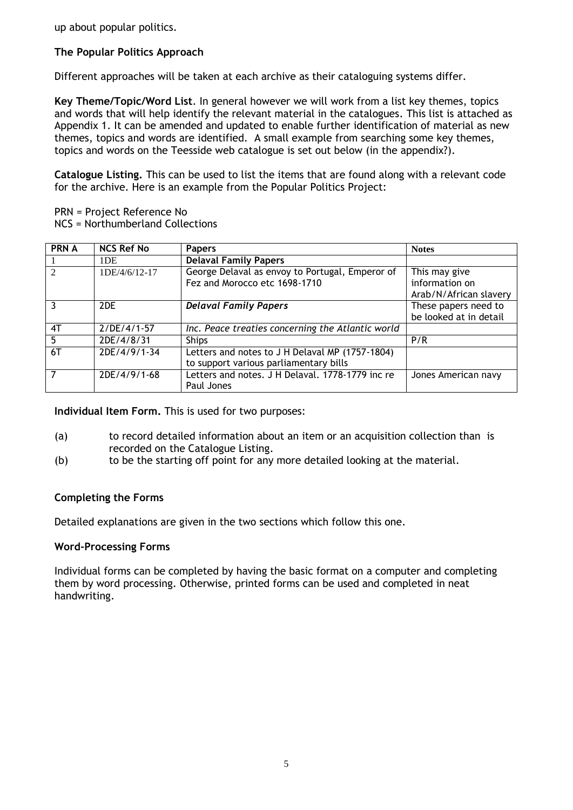up about popular politics.

## **The Popular Politics Approach**

Different approaches will be taken at each archive as their cataloguing systems differ.

**Key Theme/Topic/Word List**. In general however we will work from a list key themes, topics and words that will help identify the relevant material in the catalogues. This list is attached as Appendix 1. It can be amended and updated to enable further identification of material as new themes, topics and words are identified. A small example from searching some key themes, topics and words on the Teesside web catalogue is set out below (in the appendix?).

**Catalogue Listing.** This can be used to list the items that are found along with a relevant code for the archive. Here is an example from the Popular Politics Project:

- PRN = Project Reference No
- NCS = Northumberland Collections

| <b>PRN A</b> | <b>NCS Ref No</b> | <b>Papers</b>                                     | <b>Notes</b>           |
|--------------|-------------------|---------------------------------------------------|------------------------|
|              | 1DE               | <b>Delaval Family Papers</b>                      |                        |
| 2            | 1DE/4/6/12-17     | George Delaval as envoy to Portugal, Emperor of   | This may give          |
|              |                   | Fez and Morocco etc 1698-1710                     | information on         |
|              |                   |                                                   | Arab/N/African slavery |
| 3            | 2DE               | <b>Delaval Family Papers</b>                      | These papers need to   |
|              |                   |                                                   | be looked at in detail |
| 4T           | $2/DE/4/1-57$     | Inc. Peace treaties concerning the Atlantic world |                        |
| 5            | 2DE/4/8/31        | <b>Ships</b>                                      | P/R                    |
| 6T           | 2DE/4/9/1-34      | Letters and notes to J H Delaval MP (1757-1804)   |                        |
|              |                   | to support various parliamentary bills            |                        |
| 7            | 2DE/4/9/1-68      | Letters and notes. J H Delaval. 1778-1779 inc re  | Jones American navy    |
|              |                   | Paul Jones                                        |                        |

**Individual Item Form.** This is used for two purposes:

- (a) to record detailed information about an item or an acquisition collection than is recorded on the Catalogue Listing.
- (b) to be the starting off point for any more detailed looking at the material.

#### **Completing the Forms**

Detailed explanations are given in the two sections which follow this one.

#### **Word-Processing Forms**

Individual forms can be completed by having the basic format on a computer and completing them by word processing. Otherwise, printed forms can be used and completed in neat handwriting.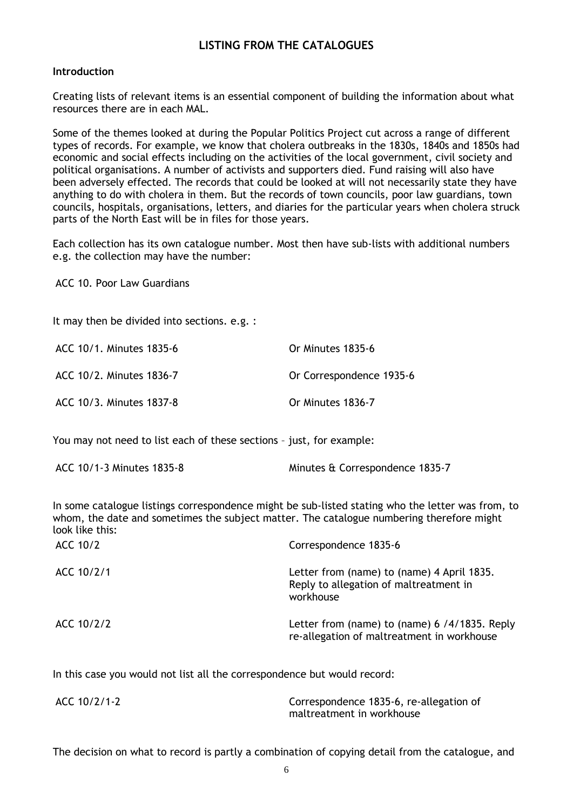## **LISTING FROM THE CATALOGUES**

#### **Introduction**

Creating lists of relevant items is an essential component of building the information about what resources there are in each MAL.

Some of the themes looked at during the Popular Politics Project cut across a range of different types of records. For example, we know that cholera outbreaks in the 1830s, 1840s and 1850s had economic and social effects including on the activities of the local government, civil society and political organisations. A number of activists and supporters died. Fund raising will also have been adversely effected. The records that could be looked at will not necessarily state they have anything to do with cholera in them. But the records of town councils, poor law guardians, town councils, hospitals, organisations, letters, and diaries for the particular years when cholera struck parts of the North East will be in files for those years.

Each collection has its own catalogue number. Most then have sub-lists with additional numbers e.g. the collection may have the number:

ACC 10. Poor Law Guardians

It may then be divided into sections. e.g. :

| ACC 10/1. Minutes 1835-6 | Or Minutes 1835-6        |
|--------------------------|--------------------------|
| ACC 10/2. Minutes 1836-7 | Or Correspondence 1935-6 |
| ACC 10/3. Minutes 1837-8 | Or Minutes 1836-7        |

You may not need to list each of these sections – just, for example:

In some catalogue listings correspondence might be sub-listed stating who the letter was from, to whom, the date and sometimes the subject matter. The catalogue numbering therefore might look like this:

| ACC 10/2   | Correspondence 1835-6                                                                             |
|------------|---------------------------------------------------------------------------------------------------|
| ACC 10/2/1 | Letter from (name) to (name) 4 April 1835.<br>Reply to allegation of maltreatment in<br>workhouse |
| ACC 10/2/2 | Letter from (name) to (name) 6 /4/1835. Reply<br>re-allegation of maltreatment in workhouse       |

In this case you would not list all the correspondence but would record:

| ACC 10/2/1-2 | Correspondence 1835-6, re-allegation of |
|--------------|-----------------------------------------|
|              | maltreatment in workhouse               |

The decision on what to record is partly a combination of copying detail from the catalogue, and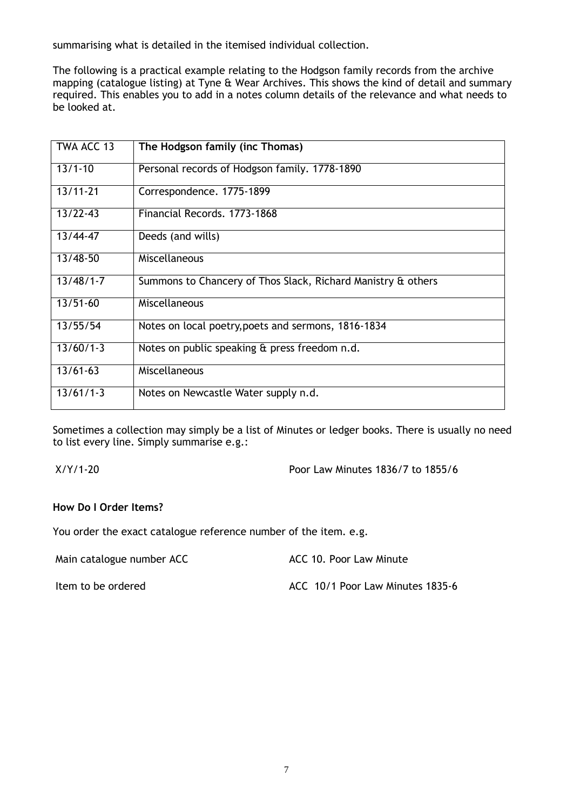summarising what is detailed in the itemised individual collection.

The following is a practical example relating to the Hodgson family records from the archive mapping (catalogue listing) at Tyne & Wear Archives. This shows the kind of detail and summary required. This enables you to add in a notes column details of the relevance and what needs to be looked at.

| TWA ACC 13    | The Hodgson family (inc Thomas)                              |
|---------------|--------------------------------------------------------------|
| $13/1 - 10$   | Personal records of Hodgson family. 1778-1890                |
| $13/11 - 21$  | Correspondence. 1775-1899                                    |
| $13/22 - 43$  | Financial Records, 1773-1868                                 |
| 13/44-47      | Deeds (and wills)                                            |
| $13/48 - 50$  | Miscellaneous                                                |
| $13/48/1 - 7$ | Summons to Chancery of Thos Slack, Richard Manistry & others |
| $13/51 - 60$  | Miscellaneous                                                |
| 13/55/54      | Notes on local poetry, poets and sermons, 1816-1834          |
| $13/60/1-3$   | Notes on public speaking & press freedom n.d.                |
| $13/61 - 63$  | Miscellaneous                                                |
| $13/61/1-3$   | Notes on Newcastle Water supply n.d.                         |

Sometimes a collection may simply be a list of Minutes or ledger books. There is usually no need to list every line. Simply summarise e.g.:

X/Y/1-20 Poor Law Minutes 1836/7 to 1855/6

#### **How Do I Order Items?**

You order the exact catalogue reference number of the item. e.g.

Main catalogue number ACC Main Catalogue number ACC 10. Poor Law Minute

Item to be ordered and according the MCC 10/1 Poor Law Minutes 1835-6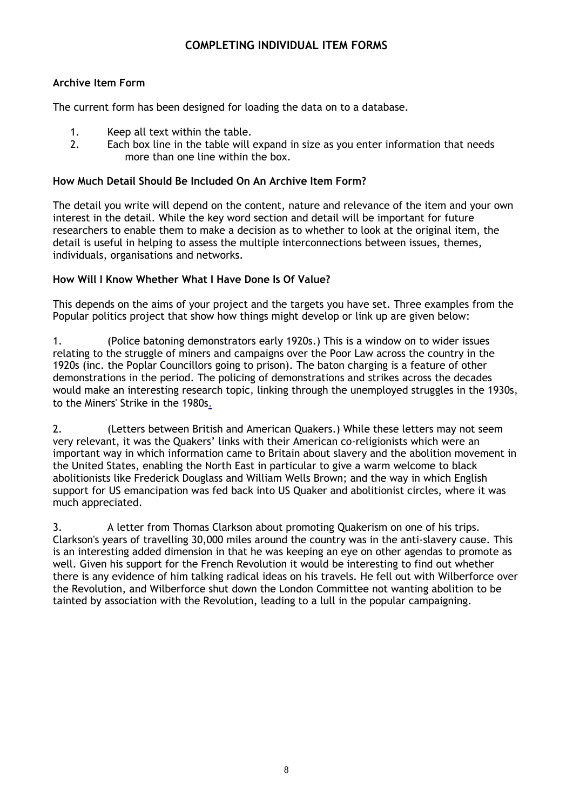## **COMPLETING INDIVIDUAL ITEM FORMS**

## **Archive Item Form**

The current form has been designed for loading the data on to a database.

- 1. Keep all text within the table.<br>2. Fach box line in the table will
- Each box line in the table will expand in size as you enter information that needs more than one line within the box.

#### **How Much Detail Should Be Included On An Archive Item Form?**

The detail you write will depend on the content, nature and relevance of the item and your own interest in the detail. While the key word section and detail will be important for future researchers to enable them to make a decision as to whether to look at the original item, the detail is useful in helping to assess the multiple interconnections between issues, themes, individuals, organisations and networks.

#### **How Will I Know Whether What I Have Done Is Of Value?**

This depends on the aims of your project and the targets you have set. Three examples from the Popular politics project that show how things might develop or link up are given below:

1. (Police batoning demonstrators early 1920s.) This is a window on to wider issues relating to the struggle of miners and campaigns over the Poor Law across the country in the 1920s (inc. the Poplar Councillors going to prison). The baton charging is a feature of other demonstrations in the period. The policing of demonstrations and strikes across the decades would make an interesting research topic, linking through the unemployed struggles in the 1930s, to the Miners' Strike in the 1980s[.](http://historyandsocialaction.blogspot.com/)

2. (Letters between British and American Quakers.) While these letters may not seem very relevant, it was the Quakers' links with their American co-religionists which were an important way in which information came to Britain about slavery and the abolition movement in the United States, enabling the North East in particular to give a warm welcome to black abolitionists like Frederick Douglass and William Wells Brown; and the way in which English support for US emancipation was fed back into US Quaker and abolitionist circles, where it was much appreciated.

3. A letter from Thomas Clarkson about promoting Quakerism on one of his trips. Clarkson's years of travelling 30,000 miles around the country was in the anti-slavery cause. This is an interesting added dimension in that he was keeping an eye on other agendas to promote as well. Given his support for the French Revolution it would be interesting to find out whether there is any evidence of him talking radical ideas on his travels. He fell out with Wilberforce over the Revolution, and Wilberforce shut down the London Committee not wanting abolition to be tainted by association with the Revolution, leading to a lull in the popular campaigning.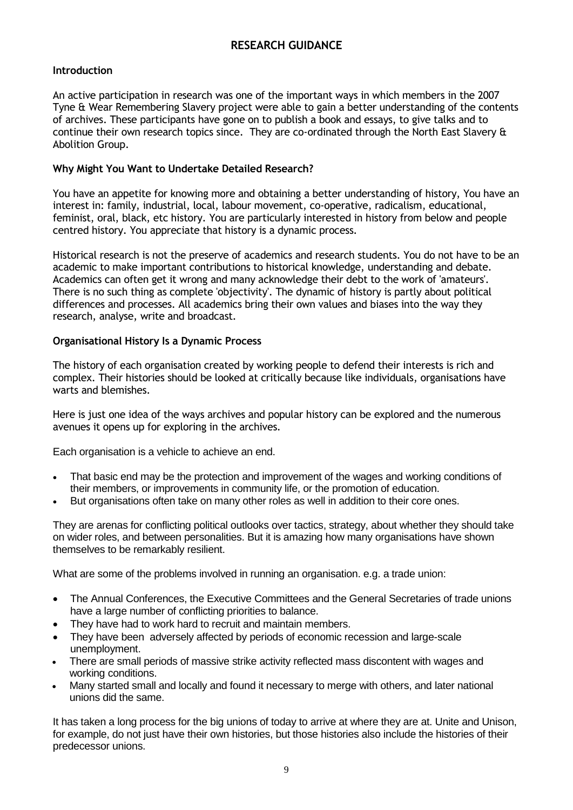## **RESEARCH GUIDANCE**

#### **Introduction**

An active participation in research was one of the important ways in which members in the 2007 Tyne & Wear Remembering Slavery project were able to gain a better understanding of the contents of archives. These participants have gone on to publish a book and essays, to give talks and to continue their own research topics since. They are co-ordinated through the North East Slavery & Abolition Group.

#### **Why Might You Want to Undertake Detailed Research?**

You have an appetite for knowing more and obtaining a better understanding of history, You have an interest in: family, industrial, local, labour movement, co-operative, radicalism, educational, feminist, oral, black, etc history. You are particularly interested in history from below and people centred history. You appreciate that history is a dynamic process.

Historical research is not the preserve of academics and research students. You do not have to be an academic to make important contributions to historical knowledge, understanding and debate. Academics can often get it wrong and many acknowledge their debt to the work of 'amateurs'. There is no such thing as complete 'objectivity'. The dynamic of history is partly about political differences and processes. All academics bring their own values and biases into the way they research, analyse, write and broadcast.

#### **Organisational History Is a Dynamic Process**

The history of each organisation created by working people to defend their interests is rich and complex. Their histories should be looked at critically because like individuals, organisations have warts and blemishes.

Here is just one idea of the ways archives and popular history can be explored and the numerous avenues it opens up for exploring in the archives.

Each organisation is a vehicle to achieve an end.

- That basic end may be the protection and improvement of the wages and working conditions of their members, or improvements in community life, or the promotion of education.
- But organisations often take on many other roles as well in addition to their core ones.

They are arenas for conflicting political outlooks over tactics, strategy, about whether they should take on wider roles, and between personalities. But it is amazing how many organisations have shown themselves to be remarkably resilient.

What are some of the problems involved in running an organisation. e.g. a trade union:

- The Annual Conferences, the Executive Committees and the General Secretaries of trade unions have a large number of conflicting priorities to balance.
- They have had to work hard to recruit and maintain members.
- They have been adversely affected by periods of economic recession and large-scale unemployment.
- There are small periods of massive strike activity reflected mass discontent with wages and working conditions.
- Many started small and locally and found it necessary to merge with others, and later national unions did the same.

It has taken a long process for the big unions of today to arrive at where they are at. Unite and Unison, for example, do not just have their own histories, but those histories also include the histories of their predecessor unions.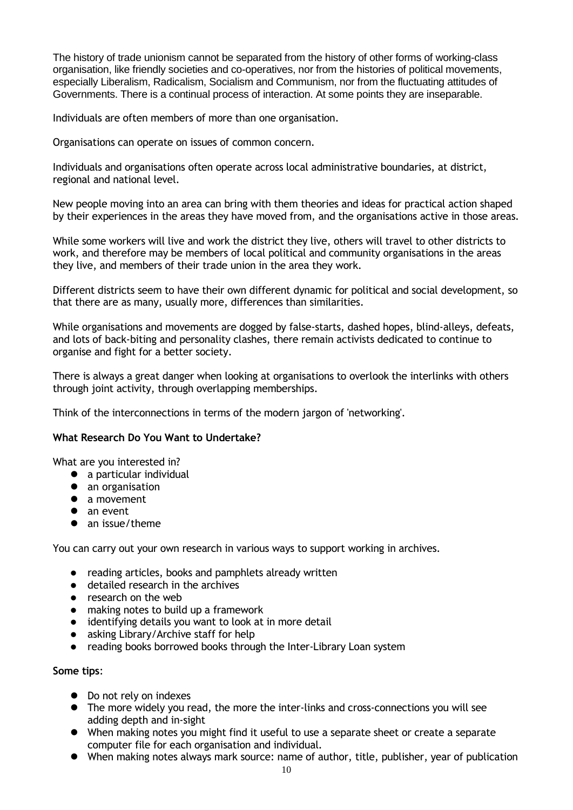The history of trade unionism cannot be separated from the history of other forms of working-class organisation, like friendly societies and co-operatives, nor from the histories of political movements, especially Liberalism, Radicalism, Socialism and Communism, nor from the fluctuating attitudes of Governments. There is a continual process of interaction. At some points they are inseparable.

Individuals are often members of more than one organisation.

Organisations can operate on issues of common concern.

Individuals and organisations often operate across local administrative boundaries, at district, regional and national level.

New people moving into an area can bring with them theories and ideas for practical action shaped by their experiences in the areas they have moved from, and the organisations active in those areas.

While some workers will live and work the district they live, others will travel to other districts to work, and therefore may be members of local political and community organisations in the areas they live, and members of their trade union in the area they work.

Different districts seem to have their own different dynamic for political and social development, so that there are as many, usually more, differences than similarities.

While organisations and movements are dogged by false-starts, dashed hopes, blind-alleys, defeats, and lots of back-biting and personality clashes, there remain activists dedicated to continue to organise and fight for a better society.

There is always a great danger when looking at organisations to overlook the interlinks with others through joint activity, through overlapping memberships.

Think of the interconnections in terms of the modern jargon of 'networking'.

#### **What Research Do You Want to Undertake?**

What are you interested in?

- a particular individual
- an organisation
- a movement
- an event
- an issue/theme

You can carry out your own research in various ways to support working in archives.

- reading articles, books and pamphlets already written
- **•** detailed research in the archives
- research on the web
- making notes to build up a framework
- identifying details you want to look at in more detail
- asking Library/Archive staff for help
- reading books borrowed books through the Inter-Library Loan system

#### **Some tips**:

- Do not rely on indexes
- The more widely you read, the more the inter-links and cross-connections you will see adding depth and in-sight
- When making notes you might find it useful to use a separate sheet or create a separate computer file for each organisation and individual.
- When making notes always mark source: name of author, title, publisher, year of publication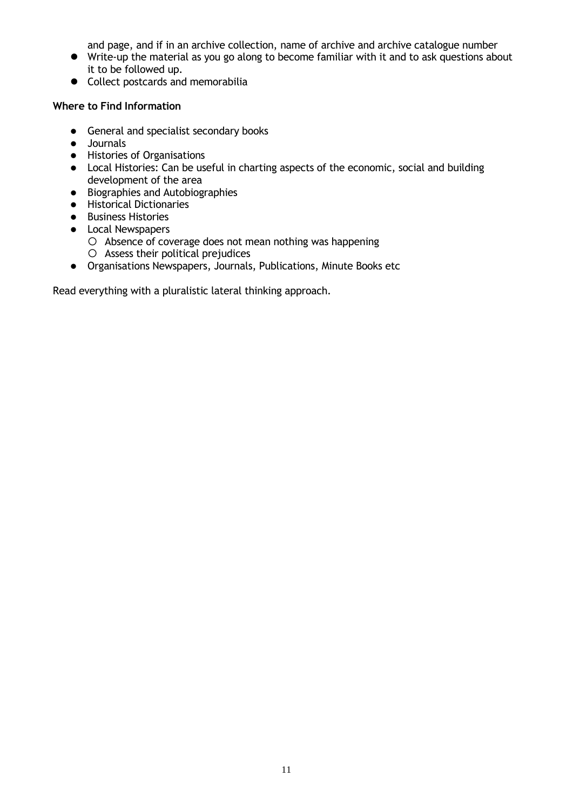and page, and if in an archive collection, name of archive and archive catalogue number

- Write-up the material as you go along to become familiar with it and to ask questions about it to be followed up.
- Collect postcards and memorabilia

## **Where to Find Information**

- **•** General and specialist secondary books
- Journals
- Histories of Organisations
- Local Histories: Can be useful in charting aspects of the economic, social and building development of the area
- Biographies and Autobiographies
- Historical Dictionaries
- **•** Business Histories
- Local Newspapers
	- $O$  Absence of coverage does not mean nothing was happening
	- $O$  Assess their political prejudices
- Organisations Newspapers, Journals, Publications, Minute Books etc

Read everything with a pluralistic lateral thinking approach.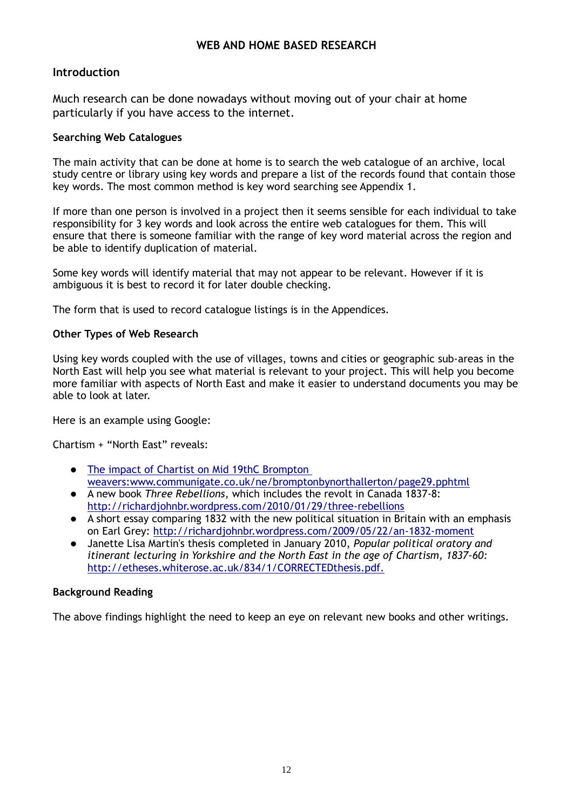## **WEB AND HOME BASED RESEARCH**

## **Introduction**

Much research can be done nowadays without moving out of your chair at home particularly if you have access to the internet.

#### **Searching Web Catalogues**

The main activity that can be done at home is to search the web catalogue of an archive, local study centre or library using key words and prepare a list of the records found that contain those key words. The most common method is key word searching see Appendix 1.

If more than one person is involved in a project then it seems sensible for each individual to take responsibility for 3 key words and look across the entire web catalogues for them. This will ensure that there is someone familiar with the range of key word material across the region and be able to identify duplication of material.

Some key words will identify material that may not appear to be relevant. However if it is ambiguous it is best to record it for later double checking.

The form that is used to record catalogue listings is in the Appendices.

#### **Other Types of Web Research**

Using key words coupled with the use of villages, towns and cities or geographic sub-areas in the North East will help you see what material is relevant to your project. This will help you become more familiar with aspects of North East and make it easier to understand documents you may be able to look at later.

Here is an example using Google:

Chartism + "North East" reveals:

- The impact of Chartist on Mid 19thC Brompton [weavers:www.communigate.co.uk/ne/bromptonbynorthallerton/page29.pphtml](http://www.communigate.co.uk/ne/bromptonbynorthallerton/page29.phtml)
- A new book *Three Rebellions*, which includes the revolt in Canada 1837-8: <http://richardjohnbr.wordpress.com/2010/01/29/three-rebellions>
- A short essay comparing 1832 with the new political situation in Britain with an emphasis on Earl Grey:<http://richardjohnbr.wordpress.com/2009/05/22/an-1832-moment>
- Janette Lisa Martin's thesis completed in January 2010, *Popular political oratory and itinerant lecturing in Yorkshire and the North East in the age of Chartism, 1837-60:*  [http://etheses.whiterose.ac.uk/834/1/CORRECTEDthesis.pdf.](http://etheses.whiterose.ac.uk/834/1/CORRECTEDthesis.pdf)

#### **Background Reading**

The above findings highlight the need to keep an eye on relevant new books and other writings.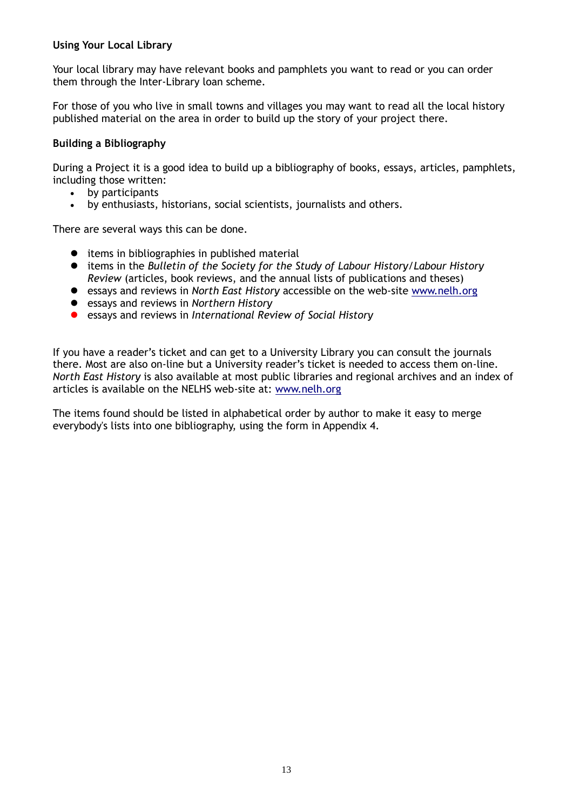## **Using Your Local Library**

Your local library may have relevant books and pamphlets you want to read or you can order them through the Inter-Library loan scheme.

For those of you who live in small towns and villages you may want to read all the local history published material on the area in order to build up the story of your project there.

#### **Building a Bibliography**

During a Project it is a good idea to build up a bibliography of books, essays, articles, pamphlets, including those written:

- by participants
- by enthusiasts, historians, social scientists, journalists and others.

There are several ways this can be done.

- items in bibliographies in published material
- items in the *Bulletin of the Society for the Study of Labour History/Labour History Review* (articles, book reviews, and the annual lists of publications and theses)
- essays and reviews in *North East History* accessible on the web-site [www.nelh.org](http://www.nelh.org/)
- essays and reviews in *Northern History*
- essays and reviews in *International Review of Social History*

If you have a reader's ticket and can get to a University Library you can consult the journals there. Most are also on-line but a University reader's ticket is needed to access them on-line. *North East History* is also available at most public libraries and regional archives and an index of articles is available on the NELHS web-site at: [www.nelh.org](http://www.nelh.org/)

The items found should be listed in alphabetical order by author to make it easy to merge everybody's lists into one bibliography, using the form in Appendix 4.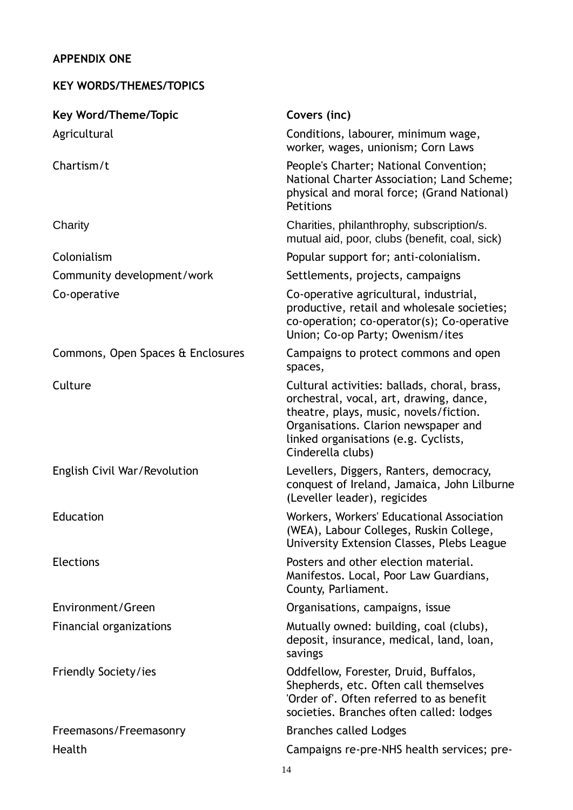## **APPENDIX ONE**

## **KEY WORDS/THEMES/TOPICS**

| <b>Key Word/Theme/Topic</b>       | Covers (inc)                                                                                                                                                                                                                           |
|-----------------------------------|----------------------------------------------------------------------------------------------------------------------------------------------------------------------------------------------------------------------------------------|
| Agricultural                      | Conditions, labourer, minimum wage,<br>worker, wages, unionism; Corn Laws                                                                                                                                                              |
| Chartism/t                        | People's Charter; National Convention;<br>National Charter Association; Land Scheme;<br>physical and moral force; (Grand National)<br>Petitions                                                                                        |
| Charity                           | Charities, philanthrophy, subscription/s.<br>mutual aid, poor, clubs (benefit, coal, sick)                                                                                                                                             |
| Colonialism                       | Popular support for; anti-colonialism.                                                                                                                                                                                                 |
| Community development/work        | Settlements, projects, campaigns                                                                                                                                                                                                       |
| Co-operative                      | Co-operative agricultural, industrial,<br>productive, retail and wholesale societies;<br>co-operation; co-operator(s); Co-operative<br>Union; Co-op Party; Owenism/ites                                                                |
| Commons, Open Spaces & Enclosures | Campaigns to protect commons and open<br>spaces,                                                                                                                                                                                       |
| Culture                           | Cultural activities: ballads, choral, brass,<br>orchestral, vocal, art, drawing, dance,<br>theatre, plays, music, novels/fiction.<br>Organisations. Clarion newspaper and<br>linked organisations (e.g. Cyclists,<br>Cinderella clubs) |
| English Civil War/Revolution      | Levellers, Diggers, Ranters, democracy,<br>conquest of Ireland, Jamaica, John Lilburne<br>(Leveller leader), regicides                                                                                                                 |
| Education                         | Workers, Workers' Educational Association<br>(WEA), Labour Colleges, Ruskin College,<br>University Extension Classes, Plebs League                                                                                                     |
| <b>Elections</b>                  | Posters and other election material.<br>Manifestos. Local, Poor Law Guardians,<br>County, Parliament.                                                                                                                                  |
| Environment/Green                 | Organisations, campaigns, issue                                                                                                                                                                                                        |
| Financial organizations           | Mutually owned: building, coal (clubs),<br>deposit, insurance, medical, land, loan,<br>savings                                                                                                                                         |
| Friendly Society/ies              | Oddfellow, Forester, Druid, Buffalos,<br>Shepherds, etc. Often call themselves<br>'Order of'. Often referred to as benefit<br>societies. Branches often called: lodges                                                                 |
| Freemasons/Freemasonry            | <b>Branches called Lodges</b>                                                                                                                                                                                                          |
| Health                            | Campaigns re-pre-NHS health services; pre-                                                                                                                                                                                             |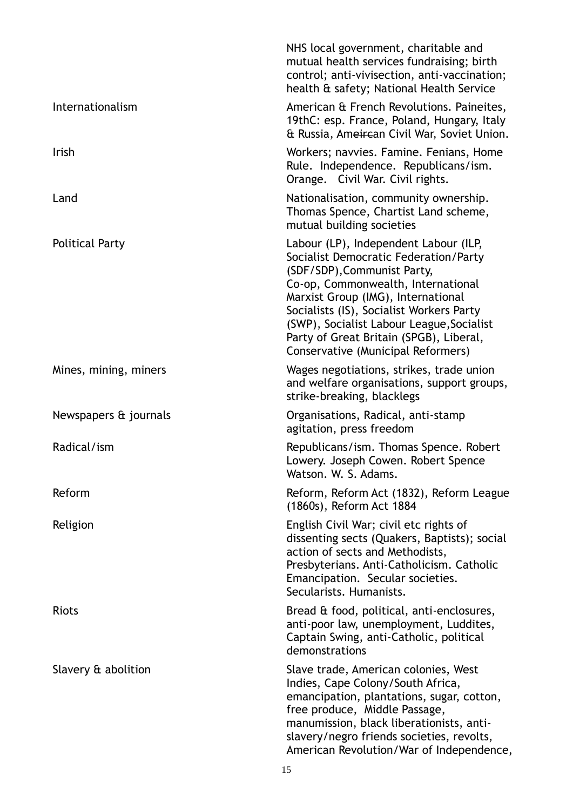|                        | NHS local government, charitable and<br>mutual health services fundraising; birth<br>control; anti-vivisection, anti-vaccination;<br>health & safety; National Health Service                                                                                                                                                                                       |
|------------------------|---------------------------------------------------------------------------------------------------------------------------------------------------------------------------------------------------------------------------------------------------------------------------------------------------------------------------------------------------------------------|
| Internationalism       | American & French Revolutions. Paineites,<br>19thC: esp. France, Poland, Hungary, Italy<br>& Russia, Ameircan Civil War, Soviet Union.                                                                                                                                                                                                                              |
| Irish                  | Workers; navvies. Famine. Fenians, Home<br>Rule. Independence. Republicans/ism.<br>Orange. Civil War. Civil rights.                                                                                                                                                                                                                                                 |
| Land                   | Nationalisation, community ownership.<br>Thomas Spence, Chartist Land scheme,<br>mutual building societies                                                                                                                                                                                                                                                          |
| <b>Political Party</b> | Labour (LP), Independent Labour (ILP,<br>Socialist Democratic Federation/Party<br>(SDF/SDP), Communist Party,<br>Co-op, Commonwealth, International<br>Marxist Group (IMG), International<br>Socialists (IS), Socialist Workers Party<br>(SWP), Socialist Labour League, Socialist<br>Party of Great Britain (SPGB), Liberal,<br>Conservative (Municipal Reformers) |
| Mines, mining, miners  | Wages negotiations, strikes, trade union<br>and welfare organisations, support groups,<br>strike-breaking, blacklegs                                                                                                                                                                                                                                                |
| Newspapers & journals  | Organisations, Radical, anti-stamp<br>agitation, press freedom                                                                                                                                                                                                                                                                                                      |
| Radical/ism            | Republicans/ism. Thomas Spence. Robert<br>Lowery. Joseph Cowen. Robert Spence<br>Watson. W. S. Adams.                                                                                                                                                                                                                                                               |
| Reform                 | Reform, Reform Act (1832), Reform League<br>(1860s), Reform Act 1884                                                                                                                                                                                                                                                                                                |
| Religion               | English Civil War; civil etc rights of<br>dissenting sects (Quakers, Baptists); social<br>action of sects and Methodists,<br>Presbyterians. Anti-Catholicism. Catholic<br>Emancipation. Secular societies.<br>Secularists. Humanists.                                                                                                                               |
| <b>Riots</b>           | Bread & food, political, anti-enclosures,<br>anti-poor law, unemployment, Luddites,<br>Captain Swing, anti-Catholic, political<br>demonstrations                                                                                                                                                                                                                    |
| Slavery & abolition    | Slave trade, American colonies, West<br>Indies, Cape Colony/South Africa,<br>emancipation, plantations, sugar, cotton,<br>free produce, Middle Passage,<br>manumission, black liberationists, anti-<br>slavery/negro friends societies, revolts,<br>American Revolution/War of Independence,                                                                        |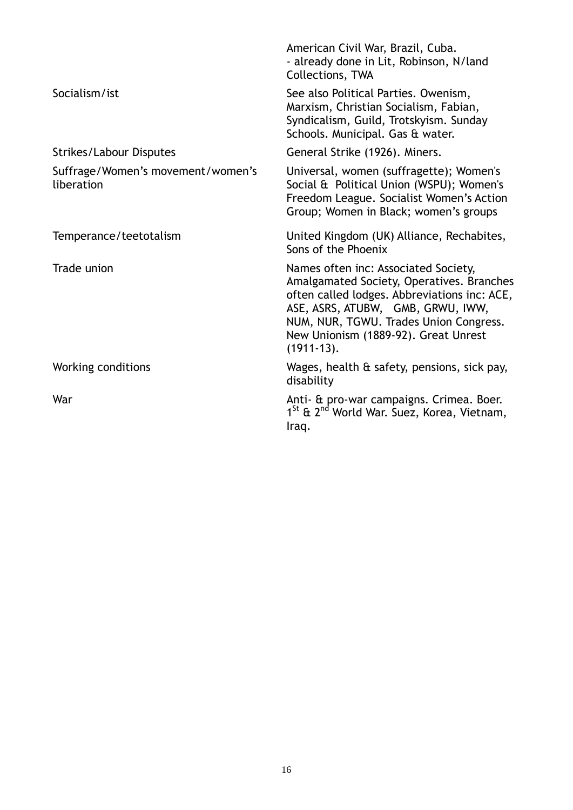|                                                 | American Civil War, Brazil, Cuba.<br>- already done in Lit, Robinson, N/land<br><b>Collections, TWA</b>                                                                                                                                                                  |
|-------------------------------------------------|--------------------------------------------------------------------------------------------------------------------------------------------------------------------------------------------------------------------------------------------------------------------------|
| Socialism/ist                                   | See also Political Parties. Owenism,<br>Marxism, Christian Socialism, Fabian,<br>Syndicalism, Guild, Trotskyism. Sunday<br>Schools. Municipal. Gas & water.                                                                                                              |
| <b>Strikes/Labour Disputes</b>                  | General Strike (1926). Miners.                                                                                                                                                                                                                                           |
| Suffrage/Women's movement/women's<br>liberation | Universal, women (suffragette); Women's<br>Social & Political Union (WSPU); Women's<br>Freedom League. Socialist Women's Action<br>Group; Women in Black; women's groups                                                                                                 |
| Temperance/teetotalism                          | United Kingdom (UK) Alliance, Rechabites,<br>Sons of the Phoenix                                                                                                                                                                                                         |
| Trade union                                     | Names often inc: Associated Society,<br>Amalgamated Society, Operatives. Branches<br>often called lodges. Abbreviations inc: ACE,<br>ASE, ASRS, ATUBW, GMB, GRWU, IWW,<br>NUM, NUR, TGWU. Trades Union Congress.<br>New Unionism (1889-92). Great Unrest<br>$(1911-13).$ |
| Working conditions                              | Wages, health & safety, pensions, sick pay,<br>disability                                                                                                                                                                                                                |
| War                                             | Anti- & pro-war campaigns. Crimea. Boer.<br>1 <sup>St</sup> & 2 <sup>nd</sup> World War. Suez, Korea, Vietnam,<br>Iraq.                                                                                                                                                  |
|                                                 |                                                                                                                                                                                                                                                                          |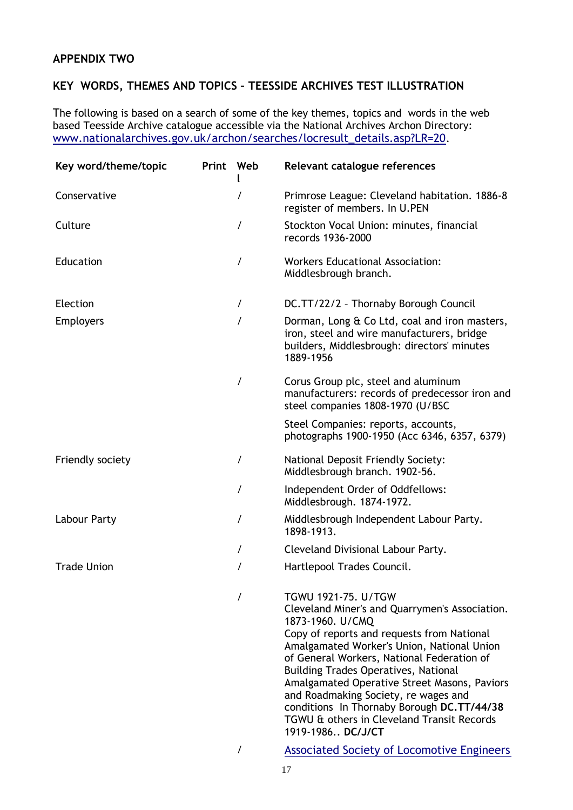## **APPENDIX TWO**

## **KEY WORDS, THEMES AND TOPICS – TEESSIDE ARCHIVES TEST ILLUSTRATION**

The following is based on a search of some of the key themes, topics and words in the web based Teesside Archive catalogue accessible via the National Archives Archon Directory: [www.nationalarchives.gov.uk/archon/searches/locresult\\_details.asp?LR=20](http://www.nationalarchives.gov.uk/archon/searches/locresult_details.asp?LR=20).

| Key word/theme/topic | Print | Web      | Relevant catalogue references                                                                                                                                                                                                                                                                                                                                                                                                                                                               |
|----------------------|-------|----------|---------------------------------------------------------------------------------------------------------------------------------------------------------------------------------------------------------------------------------------------------------------------------------------------------------------------------------------------------------------------------------------------------------------------------------------------------------------------------------------------|
| Conservative         |       | 7        | Primrose League: Cleveland habitation. 1886-8<br>register of members. In U.PEN                                                                                                                                                                                                                                                                                                                                                                                                              |
| Culture              |       | I        | Stockton Vocal Union: minutes, financial<br>records 1936-2000                                                                                                                                                                                                                                                                                                                                                                                                                               |
| Education            |       | $\prime$ | <b>Workers Educational Association:</b><br>Middlesbrough branch.                                                                                                                                                                                                                                                                                                                                                                                                                            |
| Election             |       | I        | DC.TT/22/2 - Thornaby Borough Council                                                                                                                                                                                                                                                                                                                                                                                                                                                       |
| <b>Employers</b>     |       | $\prime$ | Dorman, Long & Co Ltd, coal and iron masters,<br>iron, steel and wire manufacturers, bridge<br>builders, Middlesbrough: directors' minutes<br>1889-1956                                                                                                                                                                                                                                                                                                                                     |
|                      |       | /        | Corus Group plc, steel and aluminum<br>manufacturers: records of predecessor iron and<br>steel companies 1808-1970 (U/BSC                                                                                                                                                                                                                                                                                                                                                                   |
|                      |       |          | Steel Companies: reports, accounts,<br>photographs 1900-1950 (Acc 6346, 6357, 6379)                                                                                                                                                                                                                                                                                                                                                                                                         |
| Friendly society     |       | /        | National Deposit Friendly Society:<br>Middlesbrough branch. 1902-56.                                                                                                                                                                                                                                                                                                                                                                                                                        |
|                      |       | 7        | Independent Order of Oddfellows:<br>Middlesbrough. 1874-1972.                                                                                                                                                                                                                                                                                                                                                                                                                               |
| Labour Party         |       | Τ        | Middlesbrough Independent Labour Party.<br>1898-1913.                                                                                                                                                                                                                                                                                                                                                                                                                                       |
|                      |       | /        | Cleveland Divisional Labour Party.                                                                                                                                                                                                                                                                                                                                                                                                                                                          |
| <b>Trade Union</b>   |       | /        | Hartlepool Trades Council.                                                                                                                                                                                                                                                                                                                                                                                                                                                                  |
|                      |       |          | TGWU 1921-75. U/TGW<br>Cleveland Miner's and Quarrymen's Association.<br>1873-1960. U/CMQ<br>Copy of reports and requests from National<br>Amalgamated Worker's Union, National Union<br>of General Workers, National Federation of<br><b>Building Trades Operatives, National</b><br>Amalgamated Operative Street Masons, Paviors<br>and Roadmaking Society, re wages and<br>conditions In Thornaby Borough DC.TT/44/38<br>TGWU & others in Cleveland Transit Records<br>1919-1986 DC/J/CT |
|                      |       | 7        | <b>Associated Society of Locomotive Engineers</b>                                                                                                                                                                                                                                                                                                                                                                                                                                           |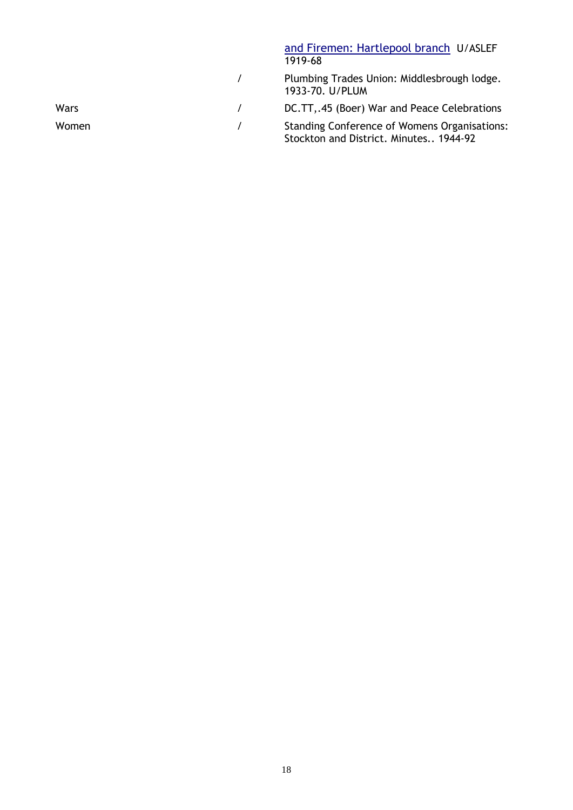|       | and Firemen: Hartlepool branch U/ASLEF<br>1919-68                                             |
|-------|-----------------------------------------------------------------------------------------------|
|       | Plumbing Trades Union: Middlesbrough lodge.<br>1933-70. U/PLUM                                |
| Wars  | DC.TT, 45 (Boer) War and Peace Celebrations                                                   |
| Women | <b>Standing Conference of Womens Organisations:</b><br>Stockton and District. Minutes 1944-92 |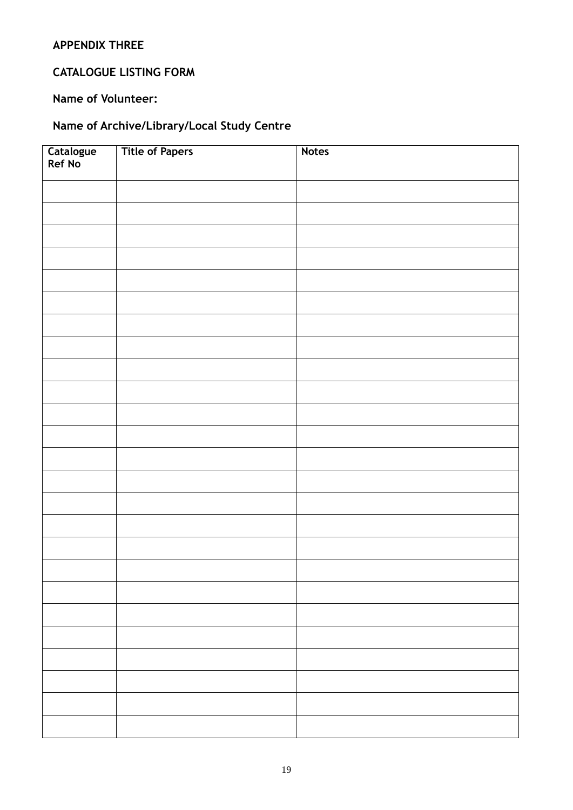## **APPENDIX THREE**

## **CATALOGUE LISTING FORM**

## **Name of Volunteer:**

## **Name of Archive/Library/Local Study Centre**

| Catalogue<br>Ref No | <b>Title of Papers</b> | <b>Notes</b> |
|---------------------|------------------------|--------------|
|                     |                        |              |
|                     |                        |              |
|                     |                        |              |
|                     |                        |              |
|                     |                        |              |
|                     |                        |              |
|                     |                        |              |
|                     |                        |              |
|                     |                        |              |
|                     |                        |              |
|                     |                        |              |
|                     |                        |              |
|                     |                        |              |
|                     |                        |              |
|                     |                        |              |
|                     |                        |              |
|                     |                        |              |
|                     |                        |              |
|                     |                        |              |
|                     |                        |              |
|                     |                        |              |
|                     |                        |              |
|                     |                        |              |
|                     |                        |              |
|                     |                        |              |
|                     |                        |              |
|                     |                        |              |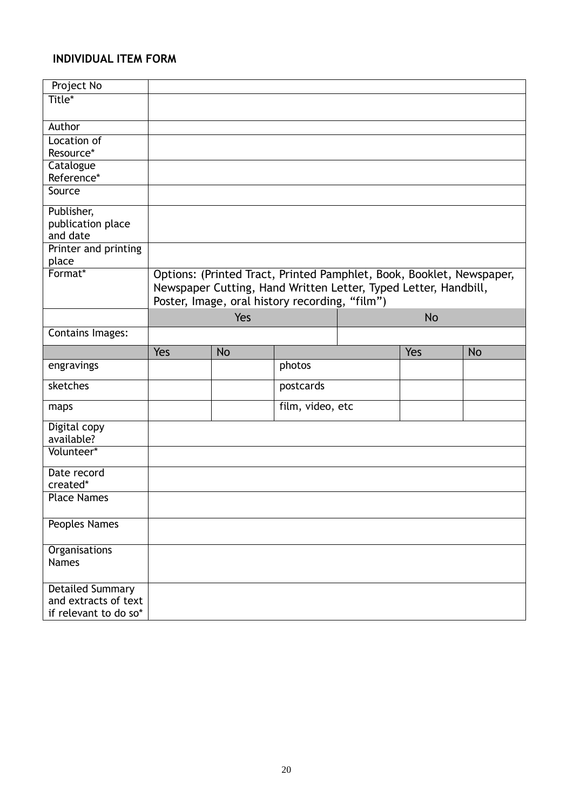## **INDIVIDUAL ITEM FORM**

| Project No                       |     |           |                                                                      |           |           |
|----------------------------------|-----|-----------|----------------------------------------------------------------------|-----------|-----------|
| Title*                           |     |           |                                                                      |           |           |
| Author                           |     |           |                                                                      |           |           |
| Location of                      |     |           |                                                                      |           |           |
| Resource*                        |     |           |                                                                      |           |           |
| Catalogue                        |     |           |                                                                      |           |           |
| Reference*<br>Source             |     |           |                                                                      |           |           |
|                                  |     |           |                                                                      |           |           |
| Publisher,                       |     |           |                                                                      |           |           |
| publication place                |     |           |                                                                      |           |           |
| and date<br>Printer and printing |     |           |                                                                      |           |           |
| place                            |     |           |                                                                      |           |           |
| Format*                          |     |           | Options: (Printed Tract, Printed Pamphlet, Book, Booklet, Newspaper, |           |           |
|                                  |     |           | Newspaper Cutting, Hand Written Letter, Typed Letter, Handbill,      |           |           |
|                                  |     |           | Poster, Image, oral history recording, "film")                       |           |           |
|                                  |     | Yes       |                                                                      | <b>No</b> |           |
| <b>Contains Images:</b>          |     |           |                                                                      |           |           |
|                                  | Yes | <b>No</b> |                                                                      | Yes       | <b>No</b> |
| engravings                       |     |           | photos                                                               |           |           |
| sketches                         |     |           | postcards                                                            |           |           |
| maps                             |     |           | film, video, etc                                                     |           |           |
| Digital copy                     |     |           |                                                                      |           |           |
| available?                       |     |           |                                                                      |           |           |
| Volunteer*                       |     |           |                                                                      |           |           |
| Date record                      |     |           |                                                                      |           |           |
| created*                         |     |           |                                                                      |           |           |
| <b>Place Names</b>               |     |           |                                                                      |           |           |
| <b>Peoples Names</b>             |     |           |                                                                      |           |           |
| Organisations                    |     |           |                                                                      |           |           |
| <b>Names</b>                     |     |           |                                                                      |           |           |
| <b>Detailed Summary</b>          |     |           |                                                                      |           |           |
| and extracts of text             |     |           |                                                                      |           |           |
|                                  |     |           |                                                                      |           |           |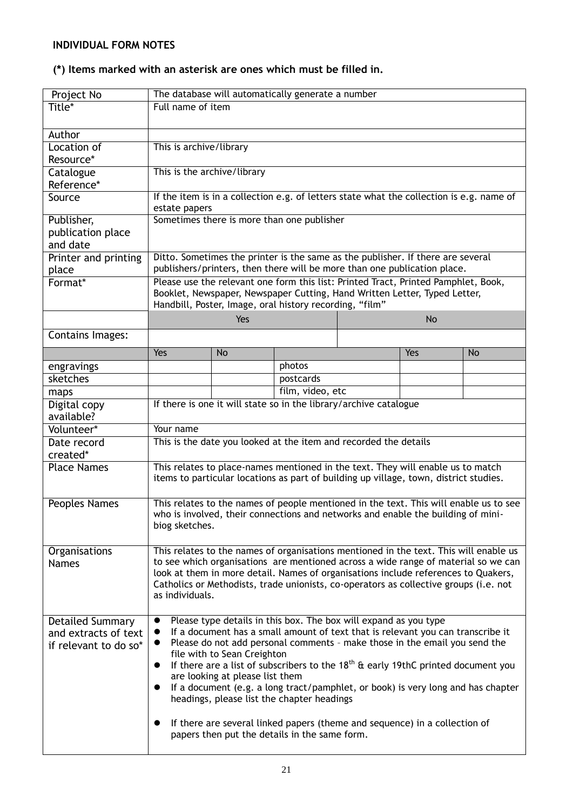## **INDIVIDUAL FORM NOTES**

## **(\*) Items marked with an asterisk are ones which must be filled in.**

| Project No                      | The database will automatically generate a number                                                                                                                        |                                 |                                                                                    |  |           |                                                                                          |
|---------------------------------|--------------------------------------------------------------------------------------------------------------------------------------------------------------------------|---------------------------------|------------------------------------------------------------------------------------|--|-----------|------------------------------------------------------------------------------------------|
| Title*                          | Full name of item                                                                                                                                                        |                                 |                                                                                    |  |           |                                                                                          |
|                                 |                                                                                                                                                                          |                                 |                                                                                    |  |           |                                                                                          |
| Author                          |                                                                                                                                                                          |                                 |                                                                                    |  |           |                                                                                          |
| Location of                     | This is archive/library                                                                                                                                                  |                                 |                                                                                    |  |           |                                                                                          |
| Resource*                       |                                                                                                                                                                          |                                 |                                                                                    |  |           |                                                                                          |
| Catalogue                       | This is the archive/library                                                                                                                                              |                                 |                                                                                    |  |           |                                                                                          |
| Reference*                      |                                                                                                                                                                          |                                 |                                                                                    |  |           |                                                                                          |
| Source                          |                                                                                                                                                                          |                                 |                                                                                    |  |           | If the item is in a collection e.g. of letters state what the collection is e.g. name of |
|                                 | estate papers                                                                                                                                                            |                                 | Sometimes there is more than one publisher                                         |  |           |                                                                                          |
| Publisher,<br>publication place |                                                                                                                                                                          |                                 |                                                                                    |  |           |                                                                                          |
| and date                        |                                                                                                                                                                          |                                 |                                                                                    |  |           |                                                                                          |
| Printer and printing            |                                                                                                                                                                          |                                 | Ditto. Sometimes the printer is the same as the publisher. If there are several    |  |           |                                                                                          |
| place                           |                                                                                                                                                                          |                                 | publishers/printers, then there will be more than one publication place.           |  |           |                                                                                          |
| Format*                         |                                                                                                                                                                          |                                 | Please use the relevant one form this list: Printed Tract, Printed Pamphlet, Book, |  |           |                                                                                          |
|                                 |                                                                                                                                                                          |                                 | Booklet, Newspaper, Newspaper Cutting, Hand Written Letter, Typed Letter,          |  |           |                                                                                          |
|                                 |                                                                                                                                                                          |                                 | Handbill, Poster, Image, oral history recording, "film"                            |  |           |                                                                                          |
|                                 |                                                                                                                                                                          | Yes                             |                                                                                    |  | <b>No</b> |                                                                                          |
| Contains Images:                |                                                                                                                                                                          |                                 |                                                                                    |  |           |                                                                                          |
|                                 | Yes                                                                                                                                                                      | <b>No</b>                       |                                                                                    |  | Yes       | <b>No</b>                                                                                |
| engravings                      |                                                                                                                                                                          |                                 | photos                                                                             |  |           |                                                                                          |
| sketches                        |                                                                                                                                                                          |                                 | postcards                                                                          |  |           |                                                                                          |
| maps                            |                                                                                                                                                                          |                                 | film, video, etc                                                                   |  |           |                                                                                          |
| Digital copy                    |                                                                                                                                                                          |                                 | If there is one it will state so in the library/archive catalogue                  |  |           |                                                                                          |
| available?                      |                                                                                                                                                                          |                                 |                                                                                    |  |           |                                                                                          |
| Volunteer*                      | Your name                                                                                                                                                                |                                 |                                                                                    |  |           |                                                                                          |
| Date record                     |                                                                                                                                                                          |                                 | This is the date you looked at the item and recorded the details                   |  |           |                                                                                          |
| created*                        |                                                                                                                                                                          |                                 |                                                                                    |  |           |                                                                                          |
| <b>Place Names</b>              | This relates to place-names mentioned in the text. They will enable us to match                                                                                          |                                 |                                                                                    |  |           |                                                                                          |
|                                 | items to particular locations as part of building up village, town, district studies.                                                                                    |                                 |                                                                                    |  |           |                                                                                          |
|                                 |                                                                                                                                                                          |                                 |                                                                                    |  |           |                                                                                          |
| Peoples Names                   | This relates to the names of people mentioned in the text. This will enable us to see                                                                                    |                                 |                                                                                    |  |           |                                                                                          |
|                                 | who is involved, their connections and networks and enable the building of mini-                                                                                         |                                 |                                                                                    |  |           |                                                                                          |
|                                 | biog sketches.                                                                                                                                                           |                                 |                                                                                    |  |           |                                                                                          |
|                                 |                                                                                                                                                                          |                                 |                                                                                    |  |           |                                                                                          |
| Organisations                   |                                                                                                                                                                          |                                 |                                                                                    |  |           | This relates to the names of organisations mentioned in the text. This will enable us    |
| <b>Names</b>                    | to see which organisations are mentioned across a wide range of material so we can<br>look at them in more detail. Names of organisations include references to Quakers, |                                 |                                                                                    |  |           |                                                                                          |
|                                 |                                                                                                                                                                          |                                 |                                                                                    |  |           |                                                                                          |
|                                 | Catholics or Methodists, trade unionists, co-operators as collective groups (i.e. not<br>as individuals.                                                                 |                                 |                                                                                    |  |           |                                                                                          |
|                                 |                                                                                                                                                                          |                                 |                                                                                    |  |           |                                                                                          |
| <b>Detailed Summary</b>         |                                                                                                                                                                          |                                 | Please type details in this box. The box will expand as you type                   |  |           |                                                                                          |
| and extracts of text            |                                                                                                                                                                          |                                 | If a document has a small amount of text that is relevant you can transcribe it    |  |           |                                                                                          |
| if relevant to do so*           | $\bullet$                                                                                                                                                                |                                 | Please do not add personal comments - make those in the email you send the         |  |           |                                                                                          |
|                                 |                                                                                                                                                                          | file with to Sean Creighton     |                                                                                    |  |           |                                                                                          |
|                                 | $\bullet$                                                                                                                                                                |                                 |                                                                                    |  |           | If there are a list of subscribers to the $18^{th}$ & early 19thC printed document you   |
|                                 | $\bullet$                                                                                                                                                                | are looking at please list them |                                                                                    |  |           |                                                                                          |
|                                 |                                                                                                                                                                          |                                 | headings, please list the chapter headings                                         |  |           | If a document (e.g. a long tract/pamphlet, or book) is very long and has chapter         |
|                                 |                                                                                                                                                                          |                                 |                                                                                    |  |           |                                                                                          |
|                                 | ●                                                                                                                                                                        |                                 | If there are several linked papers (theme and sequence) in a collection of         |  |           |                                                                                          |
|                                 |                                                                                                                                                                          |                                 | papers then put the details in the same form.                                      |  |           |                                                                                          |
|                                 |                                                                                                                                                                          |                                 |                                                                                    |  |           |                                                                                          |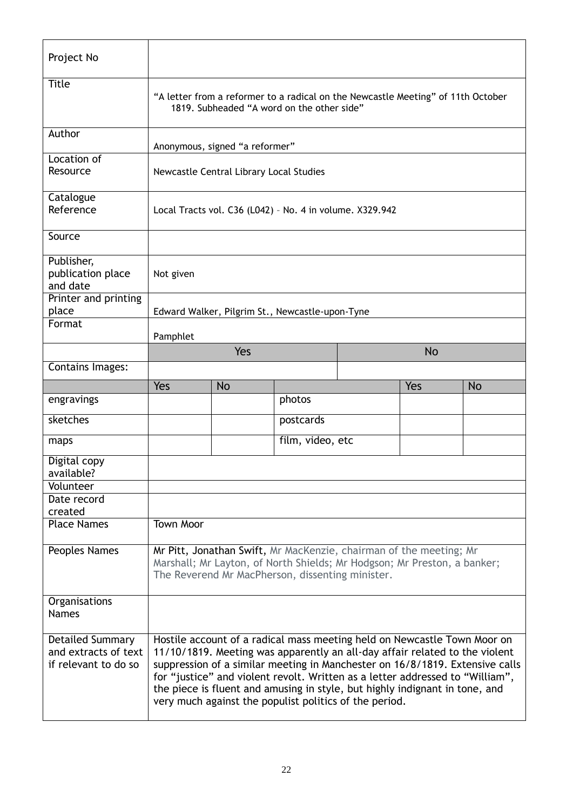| Project No                                  |                                                                                                                                |                                                                                                                                                                                                    |                  |  |           |           |
|---------------------------------------------|--------------------------------------------------------------------------------------------------------------------------------|----------------------------------------------------------------------------------------------------------------------------------------------------------------------------------------------------|------------------|--|-----------|-----------|
| <b>Title</b>                                | "A letter from a reformer to a radical on the Newcastle Meeting" of 11th October<br>1819. Subheaded "A word on the other side" |                                                                                                                                                                                                    |                  |  |           |           |
| Author                                      |                                                                                                                                | Anonymous, signed "a reformer"                                                                                                                                                                     |                  |  |           |           |
| Location of<br>Resource                     |                                                                                                                                | Newcastle Central Library Local Studies                                                                                                                                                            |                  |  |           |           |
| Catalogue<br>Reference                      |                                                                                                                                | Local Tracts vol. C36 (L042) - No. 4 in volume. X329.942                                                                                                                                           |                  |  |           |           |
| Source                                      |                                                                                                                                |                                                                                                                                                                                                    |                  |  |           |           |
| Publisher,<br>publication place<br>and date | Not given                                                                                                                      |                                                                                                                                                                                                    |                  |  |           |           |
| Printer and printing<br>place               |                                                                                                                                | Edward Walker, Pilgrim St., Newcastle-upon-Tyne                                                                                                                                                    |                  |  |           |           |
| Format                                      | Pamphlet                                                                                                                       |                                                                                                                                                                                                    |                  |  |           |           |
|                                             |                                                                                                                                | Yes                                                                                                                                                                                                |                  |  | <b>No</b> |           |
| Contains Images:                            |                                                                                                                                |                                                                                                                                                                                                    |                  |  |           |           |
|                                             | Yes                                                                                                                            | <b>No</b>                                                                                                                                                                                          |                  |  | Yes       | <b>No</b> |
|                                             |                                                                                                                                |                                                                                                                                                                                                    |                  |  |           |           |
| engravings                                  |                                                                                                                                |                                                                                                                                                                                                    | photos           |  |           |           |
| sketches                                    |                                                                                                                                |                                                                                                                                                                                                    | postcards        |  |           |           |
| maps                                        |                                                                                                                                |                                                                                                                                                                                                    | film, video, etc |  |           |           |
| Digital copy<br>available?                  |                                                                                                                                |                                                                                                                                                                                                    |                  |  |           |           |
| Volunteer                                   |                                                                                                                                |                                                                                                                                                                                                    |                  |  |           |           |
| Date record                                 |                                                                                                                                |                                                                                                                                                                                                    |                  |  |           |           |
| created<br><b>Place Names</b>               | <b>Town Moor</b>                                                                                                               |                                                                                                                                                                                                    |                  |  |           |           |
| Peoples Names                               |                                                                                                                                | Mr Pitt, Jonathan Swift, Mr MacKenzie, chairman of the meeting; Mr<br>Marshall; Mr Layton, of North Shields; Mr Hodgson; Mr Preston, a banker;<br>The Reverend Mr MacPherson, dissenting minister. |                  |  |           |           |
| Organisations<br><b>Names</b>               |                                                                                                                                |                                                                                                                                                                                                    |                  |  |           |           |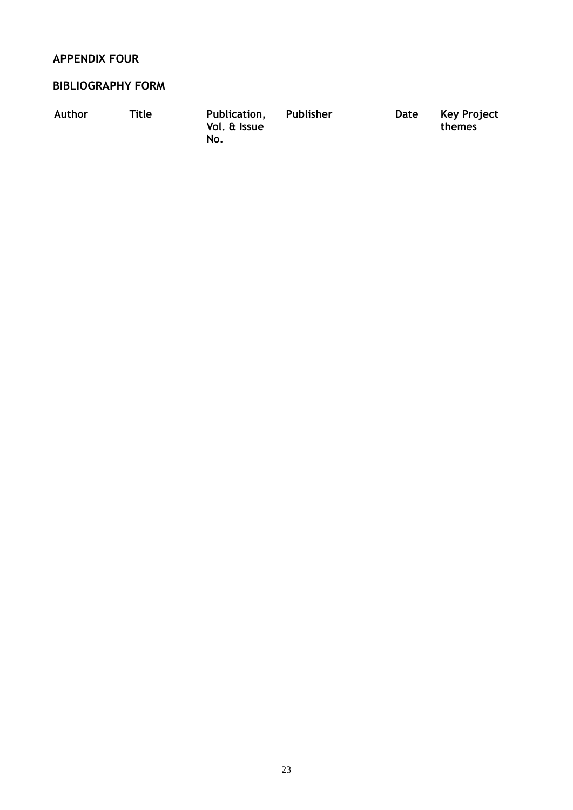## **APPENDIX FOUR**

## **BIBLIOGRAPHY FORM**

| Author | Title | Publication,<br>Vol. & Issue<br>No. | Publisher | Date | Key Project<br>themes |
|--------|-------|-------------------------------------|-----------|------|-----------------------|
|        |       |                                     |           |      |                       |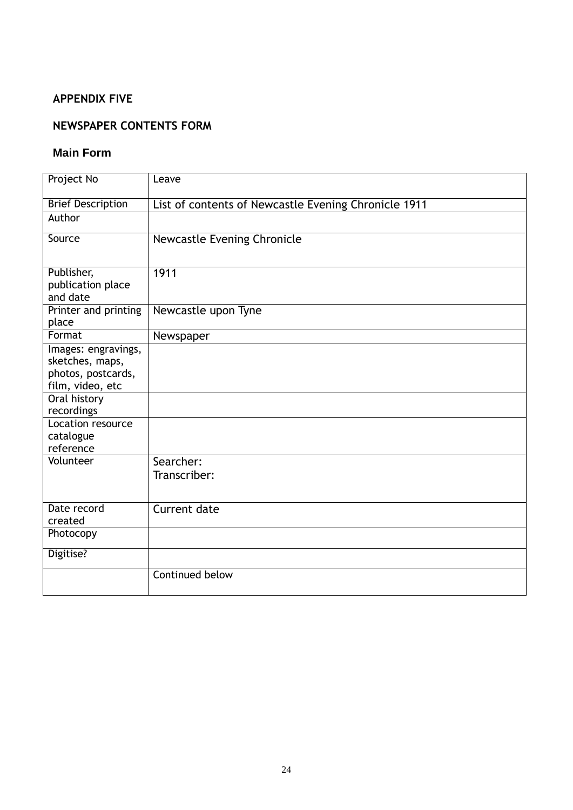## **APPENDIX FIVE**

## **NEWSPAPER CONTENTS FORM**

#### **Main Form**

| Project No                                                                                                                                       | Leave                                                |
|--------------------------------------------------------------------------------------------------------------------------------------------------|------------------------------------------------------|
| <b>Brief Description</b>                                                                                                                         | List of contents of Newcastle Evening Chronicle 1911 |
| Author                                                                                                                                           |                                                      |
| Source                                                                                                                                           | Newcastle Evening Chronicle                          |
| Publisher,<br>publication place<br>and date                                                                                                      | 1911                                                 |
| Printer and printing<br>place                                                                                                                    | Newcastle upon Tyne                                  |
| Format                                                                                                                                           | Newspaper                                            |
| Images: engravings,<br>sketches, maps,<br>photos, postcards,<br>film, video, etc<br>Oral history<br>recordings<br>Location resource<br>catalogue |                                                      |
| reference                                                                                                                                        |                                                      |
| Volunteer                                                                                                                                        | Searcher:<br>Transcriber:                            |
| Date record<br>created                                                                                                                           | Current date                                         |
| Photocopy                                                                                                                                        |                                                      |
| Digitise?                                                                                                                                        |                                                      |
|                                                                                                                                                  | Continued below                                      |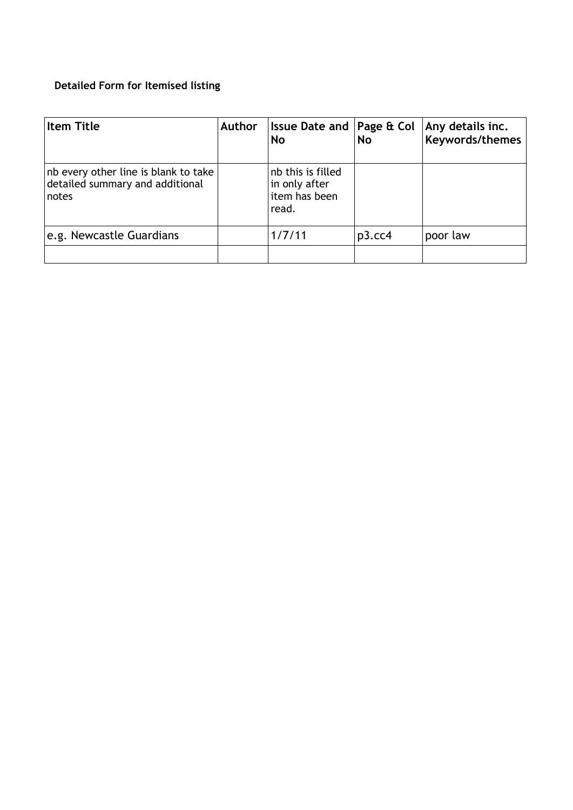## **Detailed Form for Itemised listing**

| <b>Item Title</b>                                                                | <b>Author</b> | <b>Issue Date and Page &amp; Coll</b><br>No                  | <b>No</b> | Any details inc.<br>Keywords/themes |
|----------------------------------------------------------------------------------|---------------|--------------------------------------------------------------|-----------|-------------------------------------|
| nb every other line is blank to take<br>detailed summary and additional<br>notes |               | nb this is filled<br>in only after<br>item has been<br>read. |           |                                     |
| e.g. Newcastle Guardians                                                         |               | 1/7/11                                                       | $p3$ .cc4 | poor law                            |
|                                                                                  |               |                                                              |           |                                     |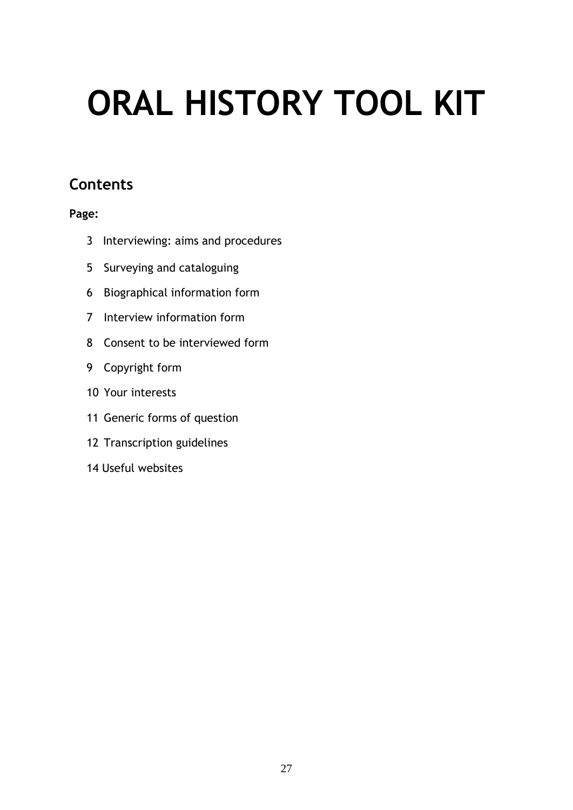# **ORAL HISTORY TOOL KIT**

## **Contents**

## **Page:**

- Interviewing: aims and procedures
- Surveying and cataloguing
- Biographical information form
- Interview information form
- Consent to be interviewed form
- Copyright form
- Your interests
- Generic forms of question
- Transcription guidelines
- 14 Useful websites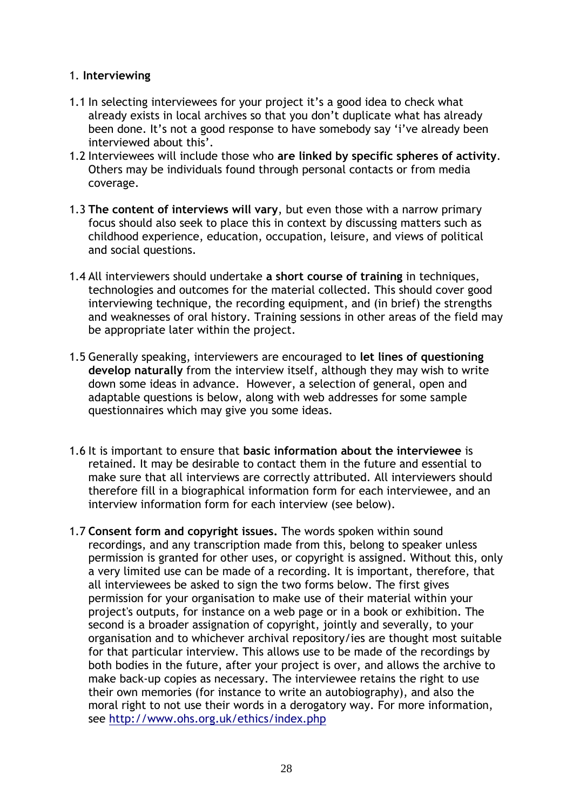## 1. **Interviewing**

- 1.1 In selecting interviewees for your project it's a good idea to check what already exists in local archives so that you don't duplicate what has already been done. It's not a good response to have somebody say 'i've already been interviewed about this'.
- 1.2 Interviewees will include those who **are linked by specific spheres of activity**. Others may be individuals found through personal contacts or from media coverage.
- 1.3 **The content of interviews will vary**, but even those with a narrow primary focus should also seek to place this in context by discussing matters such as childhood experience, education, occupation, leisure, and views of political and social questions.
- 1.4 All interviewers should undertake **a short course of training** in techniques, technologies and outcomes for the material collected. This should cover good interviewing technique, the recording equipment, and (in brief) the strengths and weaknesses of oral history. Training sessions in other areas of the field may be appropriate later within the project.
- 1.5 Generally speaking, interviewers are encouraged to **let lines of questioning develop naturally** from the interview itself, although they may wish to write down some ideas in advance. However, a selection of general, open and adaptable questions is below, along with web addresses for some sample questionnaires which may give you some ideas.
- 1.6 It is important to ensure that **basic information about the interviewee** is retained. It may be desirable to contact them in the future and essential to make sure that all interviews are correctly attributed. All interviewers should therefore fill in a biographical information form for each interviewee, and an interview information form for each interview (see below).
- 1.7 **Consent form and copyright issues.** The words spoken within sound recordings, and any transcription made from this, belong to speaker unless permission is granted for other uses, or copyright is assigned. Without this, only a very limited use can be made of a recording. It is important, therefore, that all interviewees be asked to sign the two forms below. The first gives permission for your organisation to make use of their material within your project's outputs, for instance on a web page or in a book or exhibition. The second is a broader assignation of copyright, jointly and severally, to your organisation and to whichever archival repository/ies are thought most suitable for that particular interview. This allows use to be made of the recordings by both bodies in the future, after your project is over, and allows the archive to make back-up copies as necessary. The interviewee retains the right to use their own memories (for instance to write an autobiography), and also the moral right to not use their words in a derogatory way. For more information, see<http://www.ohs.org.uk/ethics/index.php>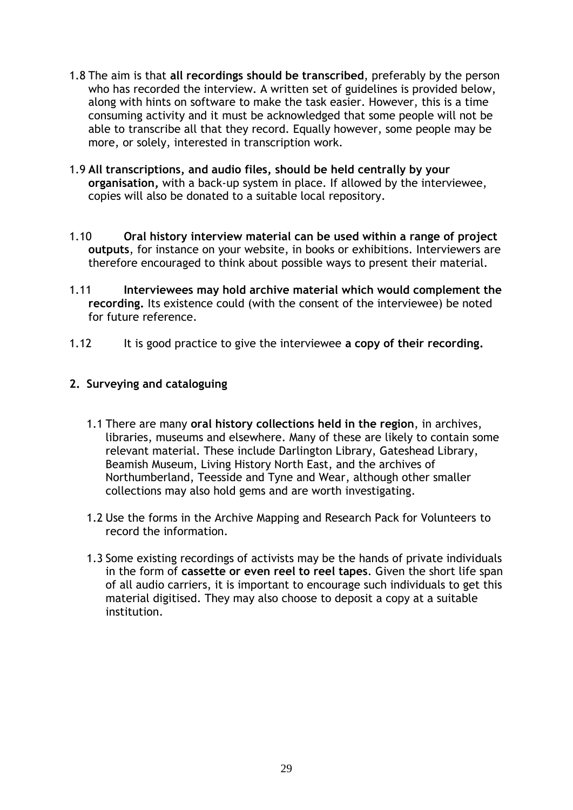- 1.8 The aim is that **all recordings should be transcribed**, preferably by the person who has recorded the interview. A written set of guidelines is provided below, along with hints on software to make the task easier. However, this is a time consuming activity and it must be acknowledged that some people will not be able to transcribe all that they record. Equally however, some people may be more, or solely, interested in transcription work.
- 1.9 **All transcriptions, and audio files, should be held centrally by your organisation,** with a back-up system in place. If allowed by the interviewee, copies will also be donated to a suitable local repository.
- 1.10 **Oral history interview material can be used within a range of project outputs**, for instance on your website, in books or exhibitions. Interviewers are therefore encouraged to think about possible ways to present their material.
- 1.11 **Interviewees may hold archive material which would complement the recording.** Its existence could (with the consent of the interviewee) be noted for future reference.
- 1.12 It is good practice to give the interviewee **a copy of their recording.**

## **2. Surveying and cataloguing**

- 1.1 There are many **oral history collections held in the region**, in archives, libraries, museums and elsewhere. Many of these are likely to contain some relevant material. These include Darlington Library, Gateshead Library, Beamish Museum, Living History North East, and the archives of Northumberland, Teesside and Tyne and Wear, although other smaller collections may also hold gems and are worth investigating.
- 1.2 Use the forms in the Archive Mapping and Research Pack for Volunteers to record the information.
- 1.3 Some existing recordings of activists may be the hands of private individuals in the form of **cassette or even reel to reel tapes**. Given the short life span of all audio carriers, it is important to encourage such individuals to get this material digitised. They may also choose to deposit a copy at a suitable institution.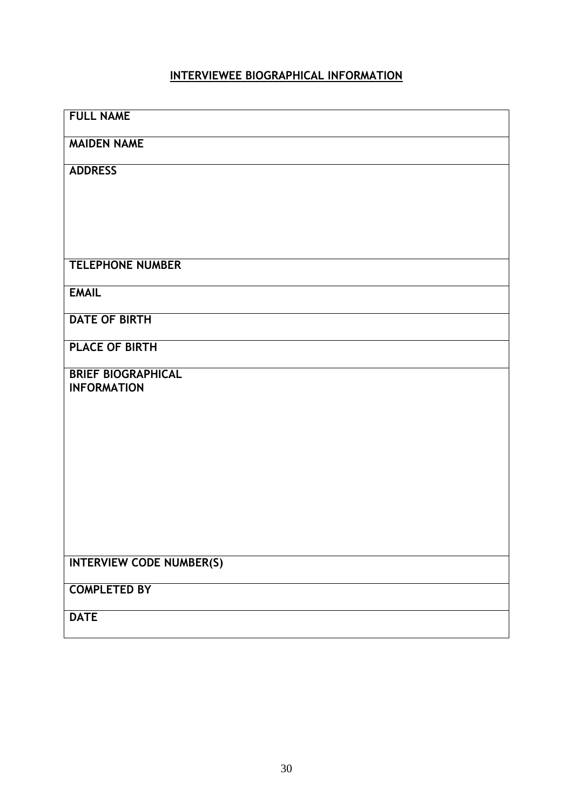## **INTERVIEWEE BIOGRAPHICAL INFORMATION**

| <b>FULL NAME</b>                                |
|-------------------------------------------------|
| <b>MAIDEN NAME</b>                              |
| <b>ADDRESS</b>                                  |
|                                                 |
|                                                 |
|                                                 |
| <b>TELEPHONE NUMBER</b>                         |
| <b>EMAIL</b>                                    |
| <b>DATE OF BIRTH</b>                            |
| <b>PLACE OF BIRTH</b>                           |
| <b>BRIEF BIOGRAPHICAL</b><br><b>INFORMATION</b> |
|                                                 |
|                                                 |
|                                                 |
|                                                 |
|                                                 |
|                                                 |
| <b>INTERVIEW CODE NUMBER(S)</b>                 |
| <b>COMPLETED BY</b>                             |
| <b>DATE</b>                                     |
|                                                 |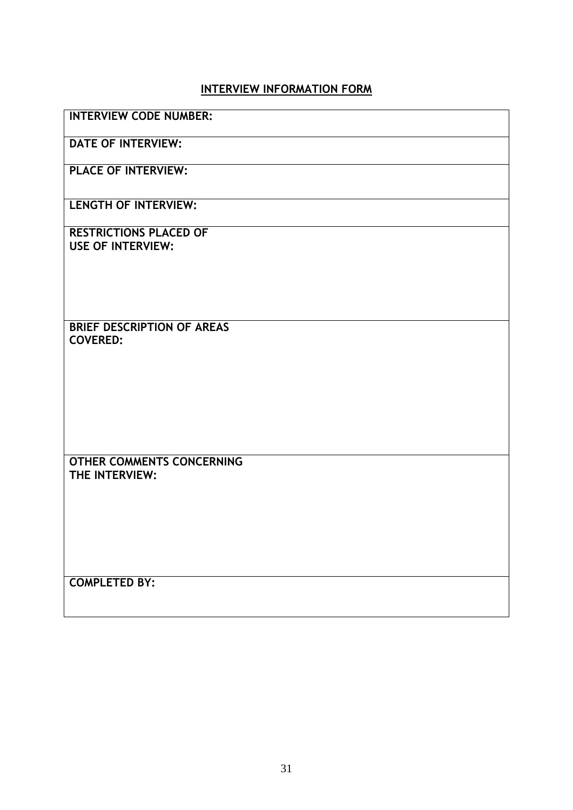## **INTERVIEW INFORMATION FORM**

| <b>INTERVIEW CODE NUMBER:</b> |  |
|-------------------------------|--|
|-------------------------------|--|

**DATE OF INTERVIEW:**

**PLACE OF INTERVIEW:**

**LENGTH OF INTERVIEW:**

**RESTRICTIONS PLACED OF USE OF INTERVIEW:**

**BRIEF DESCRIPTION OF AREAS COVERED:**

**OTHER COMMENTS CONCERNING THE INTERVIEW:**

**COMPLETED BY:**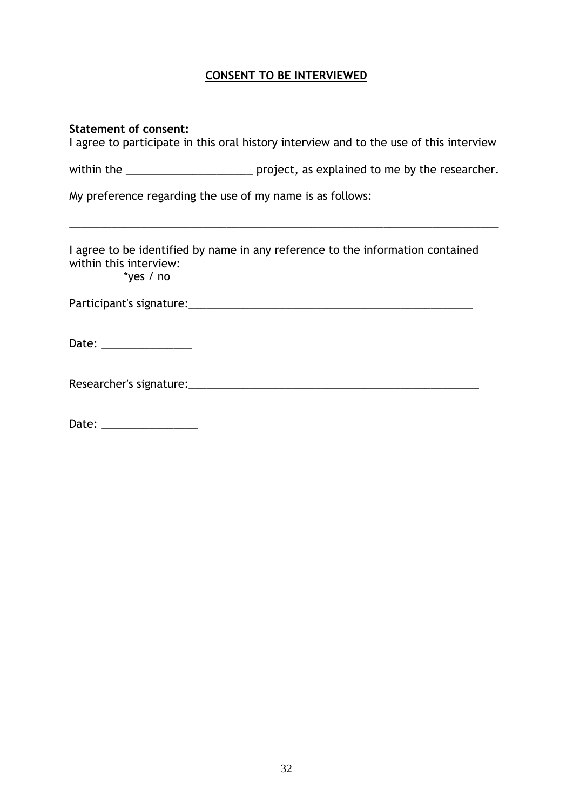## **CONSENT TO BE INTERVIEWED**

| <b>Statement of consent:</b>                              | I agree to participate in this oral history interview and to the use of this interview |
|-----------------------------------------------------------|----------------------------------------------------------------------------------------|
|                                                           |                                                                                        |
| My preference regarding the use of my name is as follows: |                                                                                        |
| within this interview:                                    | I agree to be identified by name in any reference to the information contained         |
| $*$ yes / no                                              |                                                                                        |
| Date: _________________                                   |                                                                                        |
|                                                           |                                                                                        |
|                                                           |                                                                                        |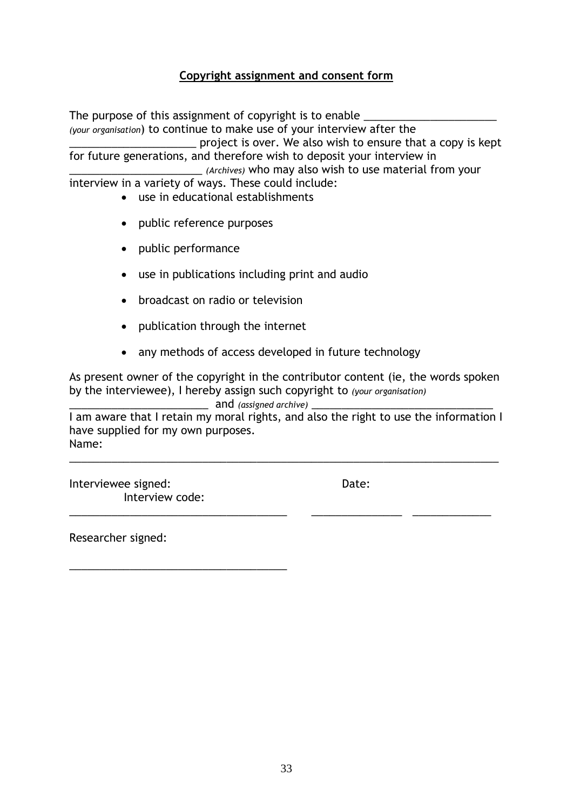## **Copyright assignment and consent form**

The purpose of this assignment of copyright is to enable *(your organisation*) to continue to make use of your interview after the \_\_\_\_\_\_\_\_\_\_\_\_\_\_\_\_\_\_\_\_\_ project is over. We also wish to ensure that a copy is kept for future generations, and therefore wish to deposit your interview in \_\_\_\_\_\_\_\_\_\_\_\_\_\_\_\_\_\_\_\_\_\_ *(Archives)* who may also wish to use material from your interview in a variety of ways. These could include: use in educational establishments

- public reference purposes
- public performance
- use in publications including print and audio
- broadcast on radio or television
- publication through the internet
- any methods of access developed in future technology

As present owner of the copyright in the contributor content (ie, the words spoken by the interviewee), I hereby assign such copyright to *(your organisation)* 

\_\_\_\_\_\_\_\_\_\_\_\_\_\_\_\_\_\_\_\_\_\_\_ and *(assigned archive)* \_\_\_\_\_\_\_\_\_\_\_\_\_\_\_\_\_\_\_\_\_\_\_\_\_\_\_\_\_\_

I am aware that I retain my moral rights, and also the right to use the information I have supplied for my own purposes. Name:

\_\_\_\_\_\_\_\_\_\_\_\_\_\_\_\_\_\_\_\_\_\_\_\_\_\_\_\_\_\_\_\_\_\_\_\_\_\_\_\_\_\_\_\_\_\_\_\_\_\_\_\_\_\_\_\_\_\_\_\_\_\_\_\_\_\_\_\_\_\_\_

\_\_\_\_\_\_\_\_\_\_\_\_\_\_\_\_\_\_\_\_\_\_\_\_\_\_\_\_\_\_\_\_\_\_\_\_ \_\_\_\_\_\_\_\_\_\_\_\_\_\_\_ \_\_\_\_\_\_\_\_\_\_\_\_\_

Interviewee signed: The Contract of the Date: Interview code:

\_\_\_\_\_\_\_\_\_\_\_\_\_\_\_\_\_\_\_\_\_\_\_\_\_\_\_\_\_\_\_\_\_\_\_\_

Researcher signed: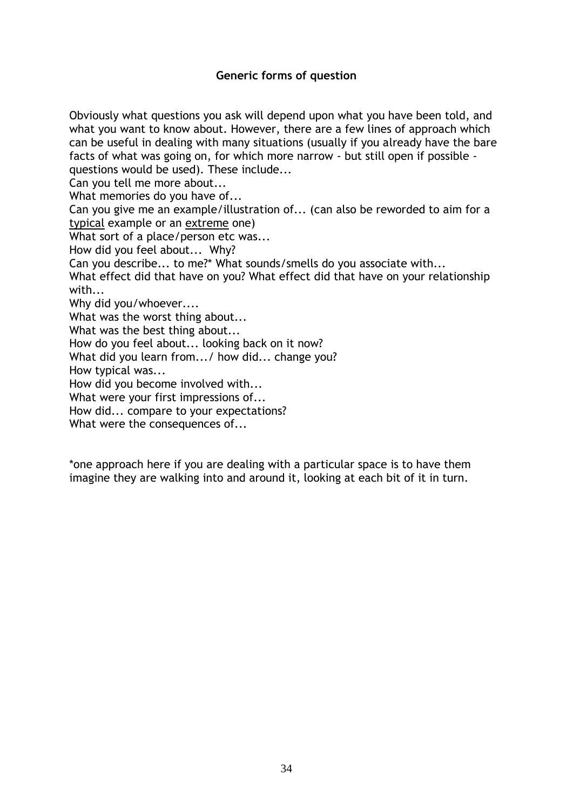## **Generic forms of question**

Obviously what questions you ask will depend upon what you have been told, and what you want to know about. However, there are a few lines of approach which can be useful in dealing with many situations (usually if you already have the bare facts of what was going on, for which more narrow - but still open if possible questions would be used). These include...

Can you tell me more about...

What memories do you have of...

Can you give me an example/illustration of... (can also be reworded to aim for a typical example or an extreme one)

What sort of a place/person etc was...

How did you feel about... Why?

Can you describe... to me?\* What sounds/smells do you associate with...

What effect did that have on you? What effect did that have on your relationship with...

Why did you/whoever....

What was the worst thing about...

What was the best thing about...

How do you feel about... looking back on it now?

What did you learn from.../ how did... change you?

How typical was...

How did you become involved with...

What were your first impressions of...

How did... compare to your expectations?

What were the consequences of...

\*one approach here if you are dealing with a particular space is to have them imagine they are walking into and around it, looking at each bit of it in turn.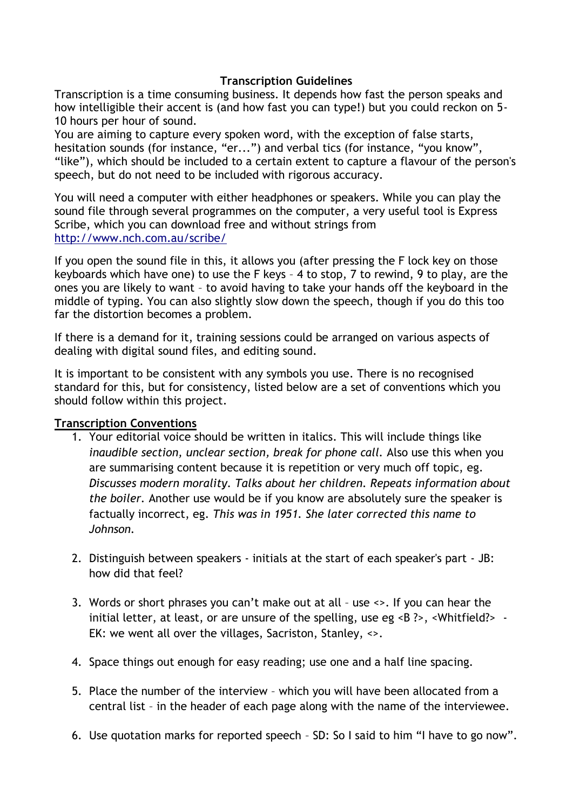## **Transcription Guidelines**

Transcription is a time consuming business. It depends how fast the person speaks and how intelligible their accent is (and how fast you can type!) but you could reckon on 5- 10 hours per hour of sound.

You are aiming to capture every spoken word, with the exception of false starts, hesitation sounds (for instance, "er...") and verbal tics (for instance, "you know", "like"), which should be included to a certain extent to capture a flavour of the person's speech, but do not need to be included with rigorous accuracy.

You will need a computer with either headphones or speakers. While you can play the sound file through several programmes on the computer, a very useful tool is Express Scribe, which you can download free and without strings from <http://www.nch.com.au/scribe/>

If you open the sound file in this, it allows you (after pressing the F lock key on those keyboards which have one) to use the F keys – 4 to stop, 7 to rewind, 9 to play, are the ones you are likely to want – to avoid having to take your hands off the keyboard in the middle of typing. You can also slightly slow down the speech, though if you do this too far the distortion becomes a problem.

If there is a demand for it, training sessions could be arranged on various aspects of dealing with digital sound files, and editing sound.

It is important to be consistent with any symbols you use. There is no recognised standard for this, but for consistency, listed below are a set of conventions which you should follow within this project.

## **Transcription Conventions**

- 1. Your editorial voice should be written in italics. This will include things like *inaudible section, unclear section, break for phone call.* Also use this when you are summarising content because it is repetition or very much off topic, eg. *Discusses modern morality. Talks about her children. Repeats information about the boiler.* Another use would be if you know are absolutely sure the speaker is factually incorrect, eg. *This was in 1951. She later corrected this name to Johnson.*
- 2. Distinguish between speakers initials at the start of each speaker's part JB: how did that feel?
- 3. Words or short phrases you can't make out at all use <>. If you can hear the initial letter, at least, or are unsure of the spelling, use eg <B ?>, <Whitfield?> -EK: we went all over the villages, Sacriston, Stanley, <>.
- 4. Space things out enough for easy reading; use one and a half line spacing.
- 5. Place the number of the interview which you will have been allocated from a central list – in the header of each page along with the name of the interviewee.
- 6. Use quotation marks for reported speech SD: So I said to him "I have to go now".